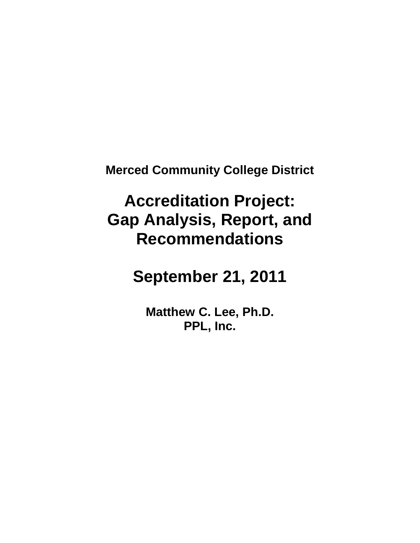**Merced Community College District**

# **Accreditation Project: Gap Analysis, Report, and Recommendations**

**September 21, 2011**

**Matthew C. Lee, Ph.D. PPL, Inc.**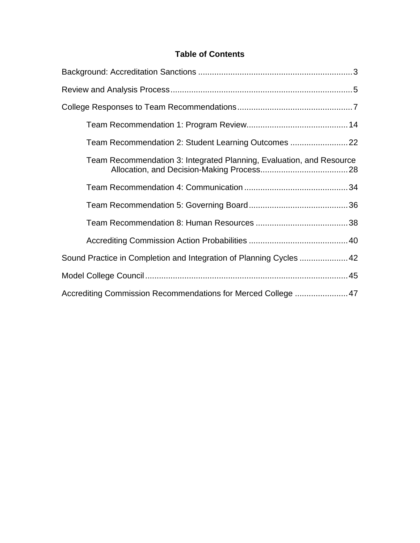# **Table of Contents**

| Team Recommendation 2: Student Learning Outcomes                     |  |
|----------------------------------------------------------------------|--|
| Team Recommendation 3: Integrated Planning, Evaluation, and Resource |  |
|                                                                      |  |
|                                                                      |  |
|                                                                      |  |
|                                                                      |  |
| Sound Practice in Completion and Integration of Planning Cycles  42  |  |
|                                                                      |  |
|                                                                      |  |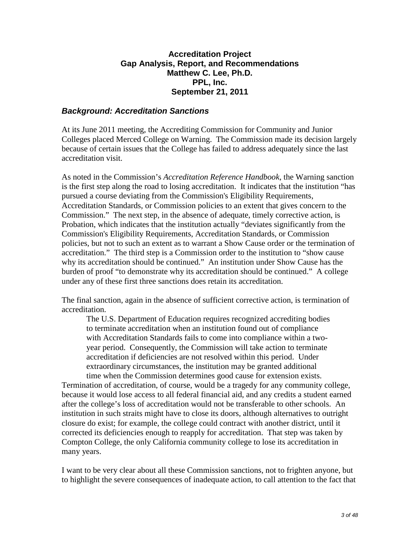# **Accreditation Project Gap Analysis, Report, and Recommendations Matthew C. Lee, Ph.D. PPL, Inc. September 21, 2011**

# *Background: Accreditation Sanctions*

At its June 2011 meeting, the Accrediting Commission for Community and Junior Colleges placed Merced College on Warning. The Commission made its decision largely because of certain issues that the College has failed to address adequately since the last accreditation visit.

As noted in the Commission's *Accreditation Reference Handbook*, the Warning sanction is the first step along the road to losing accreditation. It indicates that the institution "has pursued a course deviating from the Commission's Eligibility Requirements, Accreditation Standards, or Commission policies to an extent that gives concern to the Commission." The next step, in the absence of adequate, timely corrective action, is Probation, which indicates that the institution actually "deviates significantly from the Commission's Eligibility Requirements, Accreditation Standards, or Commission policies, but not to such an extent as to warrant a Show Cause order or the termination of accreditation." The third step is a Commission order to the institution to "show cause why its accreditation should be continued." An institution under Show Cause has the burden of proof "to demonstrate why its accreditation should be continued." A college under any of these first three sanctions does retain its accreditation.

The final sanction, again in the absence of sufficient corrective action, is termination of accreditation.

The U.S. Department of Education requires recognized accrediting bodies to terminate accreditation when an institution found out of compliance with Accreditation Standards fails to come into compliance within a twoyear period. Consequently, the Commission will take action to terminate accreditation if deficiencies are not resolved within this period. Under extraordinary circumstances, the institution may be granted additional time when the Commission determines good cause for extension exists.

Termination of accreditation, of course, would be a tragedy for any community college, because it would lose access to all federal financial aid, and any credits a student earned after the college's loss of accreditation would not be transferable to other schools. An institution in such straits might have to close its doors, although alternatives to outright closure do exist; for example, the college could contract with another district, until it corrected its deficiencies enough to reapply for accreditation. That step was taken by Compton College, the only California community college to lose its accreditation in many years.

I want to be very clear about all these Commission sanctions, not to frighten anyone, but to highlight the severe consequences of inadequate action, to call attention to the fact that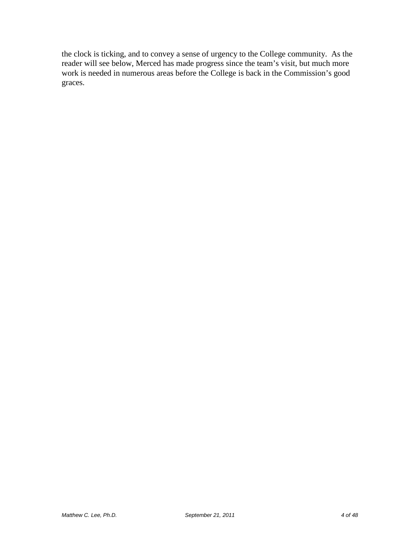the clock is ticking, and to convey a sense of urgency to the College community. As the reader will see below, Merced has made progress since the team's visit, but much more work is needed in numerous areas before the College is back in the Commission's good graces.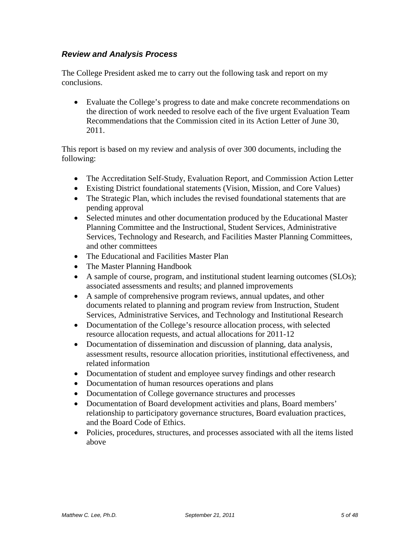# *Review and Analysis Process*

The College President asked me to carry out the following task and report on my conclusions.

• Evaluate the College's progress to date and make concrete recommendations on the direction of work needed to resolve each of the five urgent Evaluation Team Recommendations that the Commission cited in its Action Letter of June 30, 2011.

This report is based on my review and analysis of over 300 documents, including the following:

- The Accreditation Self-Study, Evaluation Report, and Commission Action Letter
- Existing District foundational statements (Vision, Mission, and Core Values)
- The Strategic Plan, which includes the revised foundational statements that are pending approval
- Selected minutes and other documentation produced by the Educational Master Planning Committee and the Instructional, Student Services, Administrative Services, Technology and Research, and Facilities Master Planning Committees, and other committees
- The Educational and Facilities Master Plan
- The Master Planning Handbook
- A sample of course, program, and institutional student learning outcomes (SLOs); associated assessments and results; and planned improvements
- A sample of comprehensive program reviews, annual updates, and other documents related to planning and program review from Instruction, Student Services, Administrative Services, and Technology and Institutional Research
- Documentation of the College's resource allocation process, with selected resource allocation requests, and actual allocations for 2011-12
- Documentation of dissemination and discussion of planning, data analysis, assessment results, resource allocation priorities, institutional effectiveness, and related information
- Documentation of student and employee survey findings and other research
- Documentation of human resources operations and plans
- Documentation of College governance structures and processes
- Documentation of Board development activities and plans, Board members' relationship to participatory governance structures, Board evaluation practices, and the Board Code of Ethics.
- Policies, procedures, structures, and processes associated with all the items listed above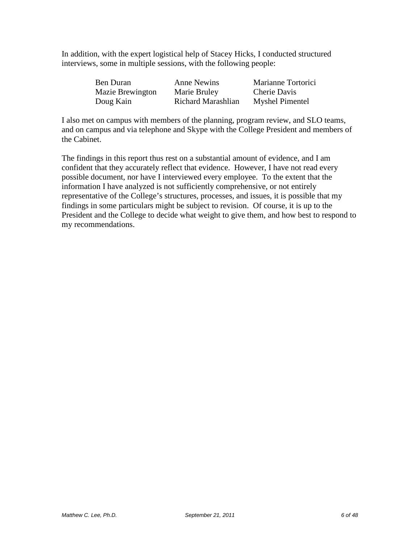In addition, with the expert logistical help of Stacey Hicks, I conducted structured interviews, some in multiple sessions, with the following people:

| Ben Duran               | <b>Anne Newins</b> | Marianne Tortorici     |
|-------------------------|--------------------|------------------------|
| <b>Mazie Brewington</b> | Marie Bruley       | Cherie Davis           |
| Doug Kain               | Richard Marashlian | <b>Myshel Pimentel</b> |

I also met on campus with members of the planning, program review, and SLO teams, and on campus and via telephone and Skype with the College President and members of the Cabinet.

The findings in this report thus rest on a substantial amount of evidence, and I am confident that they accurately reflect that evidence. However, I have not read every possible document, nor have I interviewed every employee. To the extent that the information I have analyzed is not sufficiently comprehensive, or not entirely representative of the College's structures, processes, and issues, it is possible that my findings in some particulars might be subject to revision. Of course, it is up to the President and the College to decide what weight to give them, and how best to respond to my recommendations.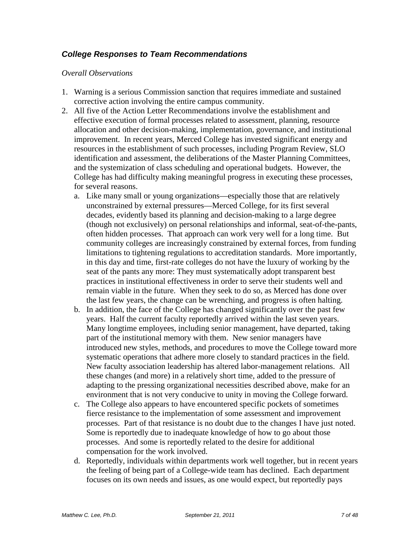# *College Responses to Team Recommendations*

### *Overall Observations*

- 1. Warning is a serious Commission sanction that requires immediate and sustained corrective action involving the entire campus community.
- 2. All five of the Action Letter Recommendations involve the establishment and effective execution of formal processes related to assessment, planning, resource allocation and other decision-making, implementation, governance, and institutional improvement. In recent years, Merced College has invested significant energy and resources in the establishment of such processes, including Program Review, SLO identification and assessment, the deliberations of the Master Planning Committees, and the systemization of class scheduling and operational budgets. However, the College has had difficulty making meaningful progress in executing these processes, for several reasons.
	- a. Like many small or young organizations—especially those that are relatively unconstrained by external pressures—Merced College, for its first several decades, evidently based its planning and decision-making to a large degree (though not exclusively) on personal relationships and informal, seat-of-the-pants, often hidden processes. That approach can work very well for a long time. But community colleges are increasingly constrained by external forces, from funding limitations to tightening regulations to accreditation standards. More importantly, in this day and time, first-rate colleges do not have the luxury of working by the seat of the pants any more: They must systematically adopt transparent best practices in institutional effectiveness in order to serve their students well and remain viable in the future. When they seek to do so, as Merced has done over the last few years, the change can be wrenching, and progress is often halting.
	- b. In addition, the face of the College has changed significantly over the past few years. Half the current faculty reportedly arrived within the last seven years. Many longtime employees, including senior management, have departed, taking part of the institutional memory with them. New senior managers have introduced new styles, methods, and procedures to move the College toward more systematic operations that adhere more closely to standard practices in the field. New faculty association leadership has altered labor-management relations. All these changes (and more) in a relatively short time, added to the pressure of adapting to the pressing organizational necessities described above, make for an environment that is not very conducive to unity in moving the College forward.
	- c. The College also appears to have encountered specific pockets of sometimes fierce resistance to the implementation of some assessment and improvement processes. Part of that resistance is no doubt due to the changes I have just noted. Some is reportedly due to inadequate knowledge of how to go about those processes. And some is reportedly related to the desire for additional compensation for the work involved.
	- d. Reportedly, individuals within departments work well together, but in recent years the feeling of being part of a College-wide team has declined. Each department focuses on its own needs and issues, as one would expect, but reportedly pays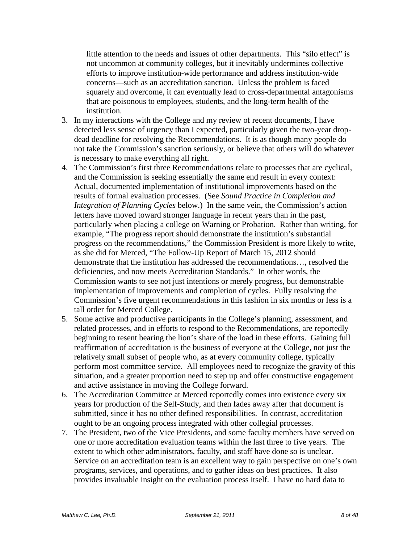little attention to the needs and issues of other departments. This "silo effect" is not uncommon at community colleges, but it inevitably undermines collective efforts to improve institution-wide performance and address institution-wide concerns—such as an accreditation sanction. Unless the problem is faced squarely and overcome, it can eventually lead to cross-departmental antagonisms that are poisonous to employees, students, and the long-term health of the institution.

- 3. In my interactions with the College and my review of recent documents, I have detected less sense of urgency than I expected, particularly given the two-year dropdead deadline for resolving the Recommendations. It is as though many people do not take the Commission's sanction seriously, or believe that others will do whatever is necessary to make everything all right.
- 4. The Commission's first three Recommendations relate to processes that are cyclical, and the Commission is seeking essentially the same end result in every context: Actual, documented implementation of institutional improvements based on the results of formal evaluation processes. (See *Sound Practice in Completion and Integration of Planning Cycles* below.) In the same vein, the Commission's action letters have moved toward stronger language in recent years than in the past, particularly when placing a college on Warning or Probation. Rather than writing, for example, "The progress report should demonstrate the institution's substantial progress on the recommendations," the Commission President is more likely to write, as she did for Merced, "The Follow-Up Report of March 15, 2012 should demonstrate that the institution has addressed the recommendations…, resolved the deficiencies, and now meets Accreditation Standards." In other words, the Commission wants to see not just intentions or merely progress, but demonstrable implementation of improvements and completion of cycles. Fully resolving the Commission's five urgent recommendations in this fashion in six months or less is a tall order for Merced College.
- 5. Some active and productive participants in the College's planning, assessment, and related processes, and in efforts to respond to the Recommendations, are reportedly beginning to resent bearing the lion's share of the load in these efforts. Gaining full reaffirmation of accreditation is the business of everyone at the College, not just the relatively small subset of people who, as at every community college, typically perform most committee service. All employees need to recognize the gravity of this situation, and a greater proportion need to step up and offer constructive engagement and active assistance in moving the College forward.
- 6. The Accreditation Committee at Merced reportedly comes into existence every six years for production of the Self-Study, and then fades away after that document is submitted, since it has no other defined responsibilities. In contrast, accreditation ought to be an ongoing process integrated with other collegial processes.
- 7. The President, two of the Vice Presidents, and some faculty members have served on one or more accreditation evaluation teams within the last three to five years. The extent to which other administrators, faculty, and staff have done so is unclear. Service on an accreditation team is an excellent way to gain perspective on one's own programs, services, and operations, and to gather ideas on best practices. It also provides invaluable insight on the evaluation process itself. I have no hard data to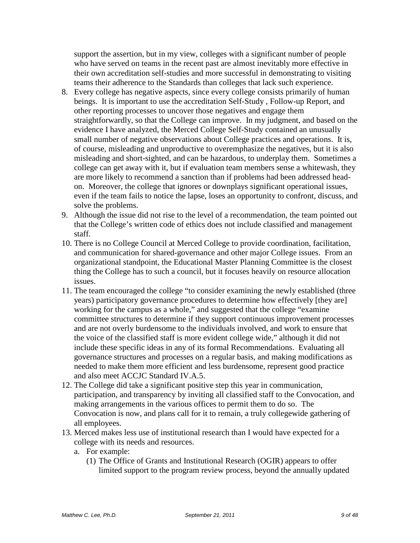support the assertion, but in my view, colleges with a significant number of people who have served on teams in the recent past are almost inevitably more effective in their own accreditation self-studies and more successful in demonstrating to visiting teams their adherence to the Standards than colleges that lack such experience.

- 8. Every college has negative aspects, since every college consists primarily of human beings. It is important to use the accreditation Self-Study , Follow-up Report, and other reporting processes to uncover those negatives and engage them straightforwardly, so that the College can improve. In my judgment, and based on the evidence I have analyzed, the Merced College Self-Study contained an unusually small number of negative observations about College practices and operations. It is, of course, misleading and unproductive to overemphasize the negatives, but it is also misleading and short-sighted, and can be hazardous, to underplay them. Sometimes a college can get away with it, but if evaluation team members sense a whitewash, they are more likely to recommend a sanction than if problems had been addressed headon. Moreover, the college that ignores or downplays significant operational issues, even if the team fails to notice the lapse, loses an opportunity to confront, discuss, and solve the problems.
- 9. Although the issue did not rise to the level of a recommendation, the team pointed out that the College's written code of ethics does not include classified and management staff.
- 10. There is no College Council at Merced College to provide coordination, facilitation, and communication for shared-governance and other major College issues. From an organizational standpoint, the Educational Master Planning Committee is the closest thing the College has to such a council, but it focuses heavily on resource allocation issues.
- 11. The team encouraged the college "to consider examining the newly established (three years) participatory governance procedures to determine how effectively [they are] working for the campus as a whole," and suggested that the college "examine committee structures to determine if they support continuous improvement processes and are not overly burdensome to the individuals involved, and work to ensure that the voice of the classified staff is more evident college wide," although it did not include these specific ideas in any of its formal Recommendations. Evaluating all governance structures and processes on a regular basis, and making modifications as needed to make them more efficient and less burdensome, represent good practice and also meet ACCJC Standard IV.A.5.
- 12. The College did take a significant positive step this year in communication, participation, and transparency by inviting all classified staff to the Convocation, and making arrangements in the various offices to permit them to do so. The Convocation is now, and plans call for it to remain, a truly collegewide gathering of all employees.
- 13. Merced makes less use of institutional research than I would have expected for a college with its needs and resources.
	- a. For example:
		- (1) The Office of Grants and Institutional Research (OGIR) appears to offer limited support to the program review process, beyond the annually updated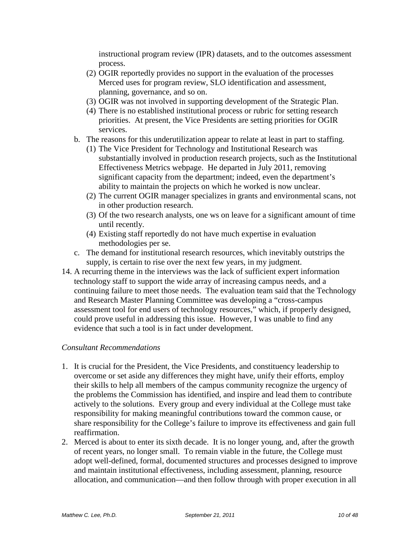instructional program review (IPR) datasets, and to the outcomes assessment process.

- (2) OGIR reportedly provides no support in the evaluation of the processes Merced uses for program review, SLO identification and assessment, planning, governance, and so on.
- (3) OGIR was not involved in supporting development of the Strategic Plan.
- (4) There is no established institutional process or rubric for setting research priorities. At present, the Vice Presidents are setting priorities for OGIR services.
- b. The reasons for this underutilization appear to relate at least in part to staffing.
	- (1) The Vice President for Technology and Institutional Research was substantially involved in production research projects, such as the Institutional Effectiveness Metrics webpage. He departed in July 2011, removing significant capacity from the department; indeed, even the department's ability to maintain the projects on which he worked is now unclear.
	- (2) The current OGIR manager specializes in grants and environmental scans, not in other production research.
	- (3) Of the two research analysts, one ws on leave for a significant amount of time until recently.
	- (4) Existing staff reportedly do not have much expertise in evaluation methodologies per se.
- c. The demand for institutional research resources, which inevitably outstrips the supply, is certain to rise over the next few years, in my judgment.
- 14. A recurring theme in the interviews was the lack of sufficient expert information technology staff to support the wide array of increasing campus needs, and a continuing failure to meet those needs. The evaluation team said that the Technology and Research Master Planning Committee was developing a "cross-campus assessment tool for end users of technology resources," which, if properly designed, could prove useful in addressing this issue. However, I was unable to find any evidence that such a tool is in fact under development.

## *Consultant Recommendations*

- 1. It is crucial for the President, the Vice Presidents, and constituency leadership to overcome or set aside any differences they might have, unify their efforts, employ their skills to help all members of the campus community recognize the urgency of the problems the Commission has identified, and inspire and lead them to contribute actively to the solutions. Every group and every individual at the College must take responsibility for making meaningful contributions toward the common cause, or share responsibility for the College's failure to improve its effectiveness and gain full reaffirmation.
- 2. Merced is about to enter its sixth decade. It is no longer young, and, after the growth of recent years, no longer small. To remain viable in the future, the College must adopt well-defined, formal, documented structures and processes designed to improve and maintain institutional effectiveness, including assessment, planning, resource allocation, and communication—and then follow through with proper execution in all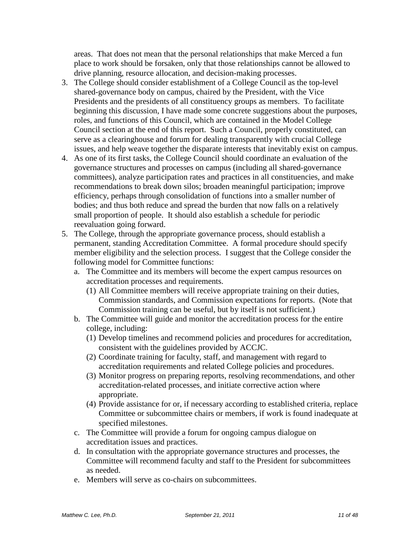areas. That does not mean that the personal relationships that make Merced a fun place to work should be forsaken, only that those relationships cannot be allowed to drive planning, resource allocation, and decision-making processes.

- 3. The College should consider establishment of a College Council as the top-level shared-governance body on campus, chaired by the President, with the Vice Presidents and the presidents of all constituency groups as members. To facilitate beginning this discussion, I have made some concrete suggestions about the purposes, roles, and functions of this Council, which are contained in the Model College Council section at the end of this report. Such a Council, properly constituted, can serve as a clearinghouse and forum for dealing transparently with crucial College issues, and help weave together the disparate interests that inevitably exist on campus.
- 4. As one of its first tasks, the College Council should coordinate an evaluation of the governance structures and processes on campus (including all shared-governance committees), analyze participation rates and practices in all constituencies, and make recommendations to break down silos; broaden meaningful participation; improve efficiency, perhaps through consolidation of functions into a smaller number of bodies; and thus both reduce and spread the burden that now falls on a relatively small proportion of people. It should also establish a schedule for periodic reevaluation going forward.
- 5. The College, through the appropriate governance process, should establish a permanent, standing Accreditation Committee. A formal procedure should specify member eligibility and the selection process. I suggest that the College consider the following model for Committee functions:
	- a. The Committee and its members will become the expert campus resources on accreditation processes and requirements.
		- (1) All Committee members will receive appropriate training on their duties, Commission standards, and Commission expectations for reports. (Note that Commission training can be useful, but by itself is not sufficient.)
	- b. The Committee will guide and monitor the accreditation process for the entire college, including:
		- (1) Develop timelines and recommend policies and procedures for accreditation, consistent with the guidelines provided by ACCJC.
		- (2) Coordinate training for faculty, staff, and management with regard to accreditation requirements and related College policies and procedures.
		- (3) Monitor progress on preparing reports, resolving recommendations, and other accreditation-related processes, and initiate corrective action where appropriate.
		- (4) Provide assistance for or, if necessary according to established criteria, replace Committee or subcommittee chairs or members, if work is found inadequate at specified milestones.
	- c. The Committee will provide a forum for ongoing campus dialogue on accreditation issues and practices.
	- d. In consultation with the appropriate governance structures and processes, the Committee will recommend faculty and staff to the President for subcommittees as needed.
	- e. Members will serve as co-chairs on subcommittees.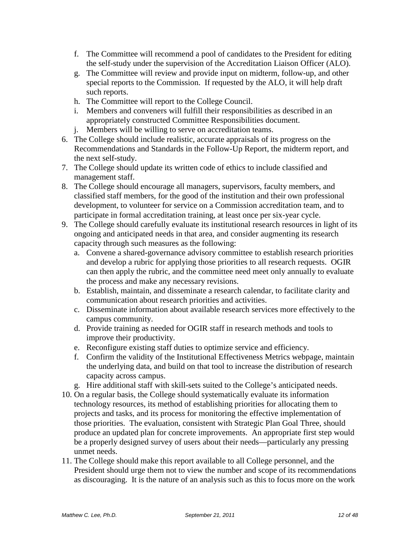- f. The Committee will recommend a pool of candidates to the President for editing the self-study under the supervision of the Accreditation Liaison Officer (ALO).
- g. The Committee will review and provide input on midterm, follow-up, and other special reports to the Commission. If requested by the ALO, it will help draft such reports.
- h. The Committee will report to the College Council.
- i. Members and conveners will fulfill their responsibilities as described in an appropriately constructed Committee Responsibilities document.
- j. Members will be willing to serve on accreditation teams.
- 6. The College should include realistic, accurate appraisals of its progress on the Recommendations and Standards in the Follow-Up Report, the midterm report, and the next self-study.
- 7. The College should update its written code of ethics to include classified and management staff.
- 8. The College should encourage all managers, supervisors, faculty members, and classified staff members, for the good of the institution and their own professional development, to volunteer for service on a Commission accreditation team, and to participate in formal accreditation training, at least once per six-year cycle.
- 9. The College should carefully evaluate its institutional research resources in light of its ongoing and anticipated needs in that area, and consider augmenting its research capacity through such measures as the following:
	- a. Convene a shared-governance advisory committee to establish research priorities and develop a rubric for applying those priorities to all research requests. OGIR can then apply the rubric, and the committee need meet only annually to evaluate the process and make any necessary revisions.
	- b. Establish, maintain, and disseminate a research calendar, to facilitate clarity and communication about research priorities and activities.
	- c. Disseminate information about available research services more effectively to the campus community.
	- d. Provide training as needed for OGIR staff in research methods and tools to improve their productivity.
	- e. Reconfigure existing staff duties to optimize service and efficiency.
	- f. Confirm the validity of the Institutional Effectiveness Metrics webpage, maintain the underlying data, and build on that tool to increase the distribution of research capacity across campus.
	- g. Hire additional staff with skill-sets suited to the College's anticipated needs.
- 10. On a regular basis, the College should systematically evaluate its information technology resources, its method of establishing priorities for allocating them to projects and tasks, and its process for monitoring the effective implementation of those priorities. The evaluation, consistent with Strategic Plan Goal Three, should produce an updated plan for concrete improvements. An appropriate first step would be a properly designed survey of users about their needs—particularly any pressing unmet needs.
- 11. The College should make this report available to all College personnel, and the President should urge them not to view the number and scope of its recommendations as discouraging. It is the nature of an analysis such as this to focus more on the work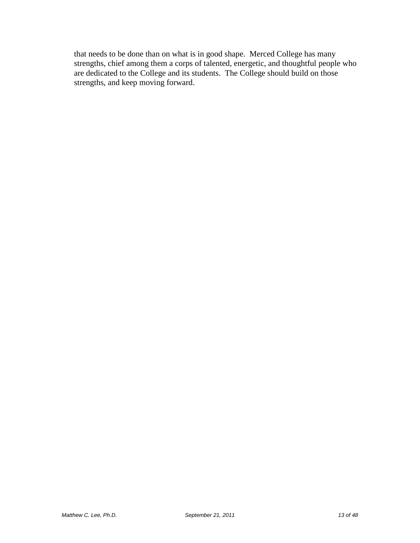that needs to be done than on what is in good shape. Merced College has many strengths, chief among them a corps of talented, energetic, and thoughtful people who are dedicated to the College and its students. The College should build on those strengths, and keep moving forward.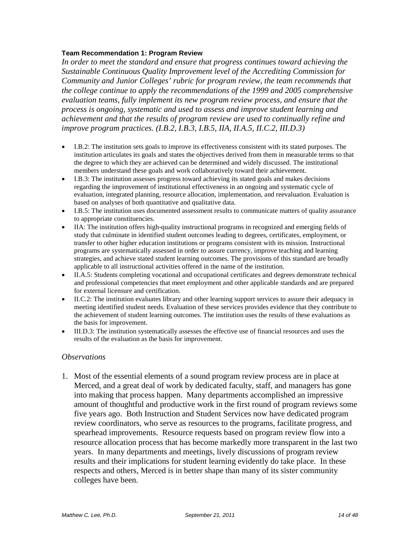#### **Team Recommendation 1: Program Review**

*In order to meet the standard and ensure that progress continues toward achieving the Sustainable Continuous Quality Improvement level of the Accrediting Commission for Community and Junior Colleges' rubric for program review, the team recommends that the college continue to apply the recommendations of the 1999 and 2005 comprehensive evaluation teams, fully implement its new program review process, and ensure that the process is ongoing, systematic and used to assess and improve student learning and achievement and that the results of program review are used to continually refine and improve program practices. (I.B.2, I.B.3, I.B.5, IIA, II.A.5, II.C.2, III.D.3)*

- I.B.2: The institution sets goals to improve its effectiveness consistent with its stated purposes. The institution articulates its goals and states the objectives derived from them in measurable terms so that the degree to which they are achieved can be determined and widely discussed. The institutional members understand these goals and work collaboratively toward their achievement.
- I.B.3: The institution assesses progress toward achieving its stated goals and makes decisions regarding the improvement of institutional effectiveness in an ongoing and systematic cycle of evaluation, integrated planning, resource allocation, implementation, and reevaluation. Evaluation is based on analyses of both quantitative and qualitative data.
- I.B.5: The institution uses documented assessment results to communicate matters of quality assurance to appropriate constituencies.
- IIA: The institution offers high-quality instructional programs in recognized and emerging fields of study that culminate in identified student outcomes leading to degrees, certificates, employment, or transfer to other higher education institutions or programs consistent with its mission. Instructional programs are systematically assessed in order to assure currency, improve teaching and learning strategies, and achieve stated student learning outcomes. The provisions of this standard are broadly applicable to all instructional activities offered in the name of the institution.
- II.A.5: Students completing vocational and occupational certificates and degrees demonstrate technical and professional competencies that meet employment and other applicable standards and are prepared for external licensure and certification.
- II.C.2: The institution evaluates library and other learning support services to assure their adequacy in meeting identified student needs. Evaluation of these services provides evidence that they contribute to the achievement of student learning outcomes. The institution uses the results of these evaluations as the basis for improvement.
- III.D.3: The institution systematically assesses the effective use of financial resources and uses the results of the evaluation as the basis for improvement.

#### *Observations*

1. Most of the essential elements of a sound program review process are in place at Merced, and a great deal of work by dedicated faculty, staff, and managers has gone into making that process happen. Many departments accomplished an impressive amount of thoughtful and productive work in the first round of program reviews some five years ago. Both Instruction and Student Services now have dedicated program review coordinators, who serve as resources to the programs, facilitate progress, and spearhead improvements. Resource requests based on program review flow into a resource allocation process that has become markedly more transparent in the last two years. In many departments and meetings, lively discussions of program review results and their implications for student learning evidently do take place. In these respects and others, Merced is in better shape than many of its sister community colleges have been.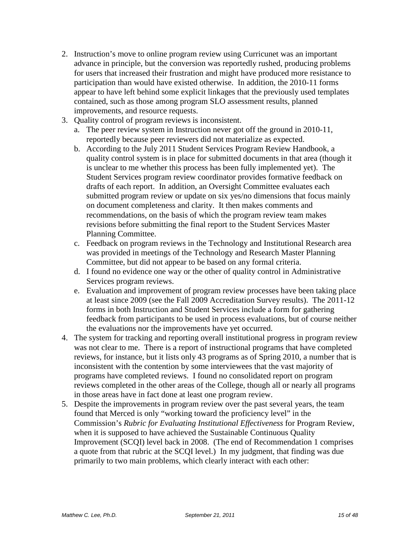- 2. Instruction's move to online program review using Curricunet was an important advance in principle, but the conversion was reportedly rushed, producing problems for users that increased their frustration and might have produced more resistance to participation than would have existed otherwise. In addition, the 2010-11 forms appear to have left behind some explicit linkages that the previously used templates contained, such as those among program SLO assessment results, planned improvements, and resource requests.
- 3. Quality control of program reviews is inconsistent.
	- a. The peer review system in Instruction never got off the ground in 2010-11, reportedly because peer reviewers did not materialize as expected.
	- b. According to the July 2011 Student Services Program Review Handbook, a quality control system is in place for submitted documents in that area (though it is unclear to me whether this process has been fully implemented yet). The Student Services program review coordinator provides formative feedback on drafts of each report. In addition, an Oversight Committee evaluates each submitted program review or update on six yes/no dimensions that focus mainly on document completeness and clarity. It then makes comments and recommendations, on the basis of which the program review team makes revisions before submitting the final report to the Student Services Master Planning Committee.
	- c. Feedback on program reviews in the Technology and Institutional Research area was provided in meetings of the Technology and Research Master Planning Committee, but did not appear to be based on any formal criteria.
	- d. I found no evidence one way or the other of quality control in Administrative Services program reviews.
	- e. Evaluation and improvement of program review processes have been taking place at least since 2009 (see the Fall 2009 Accreditation Survey results). The 2011-12 forms in both Instruction and Student Services include a form for gathering feedback from participants to be used in process evaluations, but of course neither the evaluations nor the improvements have yet occurred.
- 4. The system for tracking and reporting overall institutional progress in program review was not clear to me. There is a report of instructional programs that have completed reviews, for instance, but it lists only 43 programs as of Spring 2010, a number that is inconsistent with the contention by some interviewees that the vast majority of programs have completed reviews. I found no consolidated report on program reviews completed in the other areas of the College, though all or nearly all programs in those areas have in fact done at least one program review.
- 5. Despite the improvements in program review over the past several years, the team found that Merced is only "working toward the proficiency level" in the Commission's *Rubric for Evaluating Institutional Effectiveness* for Program Review, when it is supposed to have achieved the Sustainable Continuous Quality Improvement (SCQI) level back in 2008. (The end of Recommendation 1 comprises a quote from that rubric at the SCQI level.) In my judgment, that finding was due primarily to two main problems, which clearly interact with each other: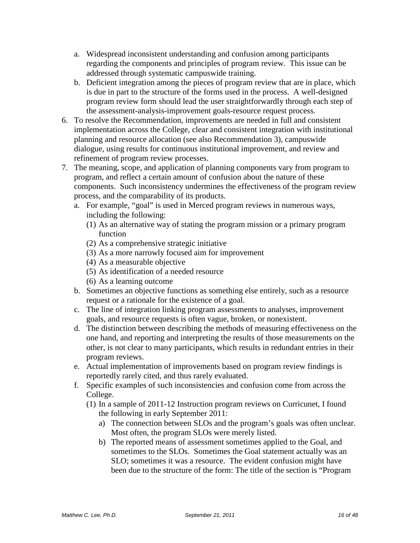- a. Widespread inconsistent understanding and confusion among participants regarding the components and principles of program review. This issue can be addressed through systematic campuswide training.
- b. Deficient integration among the pieces of program review that are in place, which is due in part to the structure of the forms used in the process. A well-designed program review form should lead the user straightforwardly through each step of the assessment-analysis-improvement goals-resource request process.
- 6. To resolve the Recommendation, improvements are needed in full and consistent implementation across the College, clear and consistent integration with institutional planning and resource allocation (see also Recommendation 3), campuswide dialogue, using results for continuous institutional improvement, and review and refinement of program review processes.
- 7. The meaning, scope, and application of planning components vary from program to program, and reflect a certain amount of confusion about the nature of these components. Such inconsistency undermines the effectiveness of the program review process, and the comparability of its products.
	- a. For example, "goal" is used in Merced program reviews in numerous ways, including the following:
		- (1) As an alternative way of stating the program mission or a primary program function
		- (2) As a comprehensive strategic initiative
		- (3) As a more narrowly focused aim for improvement
		- (4) As a measurable objective
		- (5) As identification of a needed resource
		- (6) As a learning outcome
	- b. Sometimes an objective functions as something else entirely, such as a resource request or a rationale for the existence of a goal.
	- c. The line of integration linking program assessments to analyses, improvement goals, and resource requests is often vague, broken, or nonexistent.
	- d. The distinction between describing the methods of measuring effectiveness on the one hand, and reporting and interpreting the results of those measurements on the other, is not clear to many participants, which results in redundant entries in their program reviews.
	- e. Actual implementation of improvements based on program review findings is reportedly rarely cited, and thus rarely evaluated.
	- f. Specific examples of such inconsistencies and confusion come from across the College.
		- (1) In a sample of 2011-12 Instruction program reviews on Curricunet, I found the following in early September 2011:
			- a) The connection between SLOs and the program's goals was often unclear. Most often, the program SLOs were merely listed.
			- b) The reported means of assessment sometimes applied to the Goal, and sometimes to the SLOs. Sometimes the Goal statement actually was an SLO; sometimes it was a resource. The evident confusion might have been due to the structure of the form: The title of the section is "Program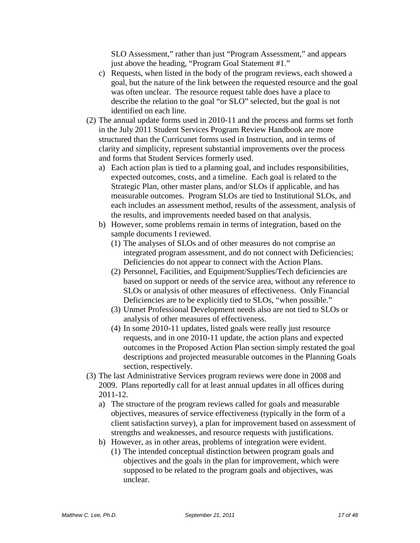SLO Assessment," rather than just "Program Assessment," and appears just above the heading, "Program Goal Statement #1."

- c) Requests, when listed in the body of the program reviews, each showed a goal, but the nature of the link between the requested resource and the goal was often unclear. The resource request table does have a place to describe the relation to the goal "or SLO" selected, but the goal is not identified on each line.
- (2) The annual update forms used in 2010-11 and the process and forms set forth in the July 2011 Student Services Program Review Handbook are more structured than the Curricunet forms used in Instruction, and in terms of clarity and simplicity, represent substantial improvements over the process and forms that Student Services formerly used.
	- a) Each action plan is tied to a planning goal, and includes responsibilities, expected outcomes, costs, and a timeline. Each goal is related to the Strategic Plan, other master plans, and/or SLOs if applicable, and has measurable outcomes. Program SLOs are tied to Institutional SLOs, and each includes an assessment method, results of the assessment, analysis of the results, and improvements needed based on that analysis.
	- b) However, some problems remain in terms of integration, based on the sample documents I reviewed.
		- (1) The analyses of SLOs and of other measures do not comprise an integrated program assessment, and do not connect with Deficiencies; Deficiencies do not appear to connect with the Action Plans.
		- (2) Personnel, Facilities, and Equipment/Supplies/Tech deficiencies are based on support or needs of the service area, without any reference to SLOs or analysis of other measures of effectiveness. Only Financial Deficiencies are to be explicitly tied to SLOs, "when possible."
		- (3) Unmet Professional Development needs also are not tied to SLOs or analysis of other measures of effectiveness.
		- (4) In some 2010-11 updates, listed goals were really just resource requests, and in one 2010-11 update, the action plans and expected outcomes in the Proposed Action Plan section simply restated the goal descriptions and projected measurable outcomes in the Planning Goals section, respectively.
- (3) The last Administrative Services program reviews were done in 2008 and 2009. Plans reportedly call for at least annual updates in all offices during 2011-12.
	- a) The structure of the program reviews called for goals and measurable objectives, measures of service effectiveness (typically in the form of a client satisfaction survey), a plan for improvement based on assessment of strengths and weaknesses, and resource requests with justifications.
	- b) However, as in other areas, problems of integration were evident.
		- (1) The intended conceptual distinction between program goals and objectives and the goals in the plan for improvement, which were supposed to be related to the program goals and objectives, was unclear.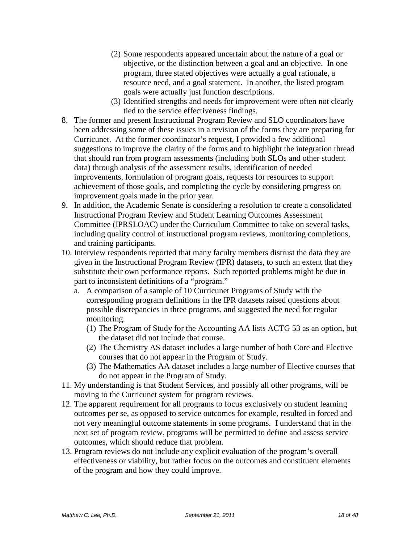- (2) Some respondents appeared uncertain about the nature of a goal or objective, or the distinction between a goal and an objective. In one program, three stated objectives were actually a goal rationale, a resource need, and a goal statement. In another, the listed program goals were actually just function descriptions.
- (3) Identified strengths and needs for improvement were often not clearly tied to the service effectiveness findings.
- 8. The former and present Instructional Program Review and SLO coordinators have been addressing some of these issues in a revision of the forms they are preparing for Curricunet. At the former coordinator's request, I provided a few additional suggestions to improve the clarity of the forms and to highlight the integration thread that should run from program assessments (including both SLOs and other student data) through analysis of the assessment results, identification of needed improvements, formulation of program goals, requests for resources to support achievement of those goals, and completing the cycle by considering progress on improvement goals made in the prior year.
- 9. In addition, the Academic Senate is considering a resolution to create a consolidated Instructional Program Review and Student Learning Outcomes Assessment Committee (IPRSLOAC) under the Curriculum Committee to take on several tasks, including quality control of instructional program reviews, monitoring completions, and training participants.
- 10. Interview respondents reported that many faculty members distrust the data they are given in the Instructional Program Review (IPR) datasets, to such an extent that they substitute their own performance reports. Such reported problems might be due in part to inconsistent definitions of a "program."
	- a. A comparison of a sample of 10 Curricunet Programs of Study with the corresponding program definitions in the IPR datasets raised questions about possible discrepancies in three programs, and suggested the need for regular monitoring.
		- (1) The Program of Study for the Accounting AA lists ACTG 53 as an option, but the dataset did not include that course.
		- (2) The Chemistry AS dataset includes a large number of both Core and Elective courses that do not appear in the Program of Study.
		- (3) The Mathematics AA dataset includes a large number of Elective courses that do not appear in the Program of Study.
- 11. My understanding is that Student Services, and possibly all other programs, will be moving to the Curricunet system for program reviews.
- 12. The apparent requirement for all programs to focus exclusively on student learning outcomes per se, as opposed to service outcomes for example, resulted in forced and not very meaningful outcome statements in some programs. I understand that in the next set of program review, programs will be permitted to define and assess service outcomes, which should reduce that problem.
- 13. Program reviews do not include any explicit evaluation of the program's overall effectiveness or viability, but rather focus on the outcomes and constituent elements of the program and how they could improve.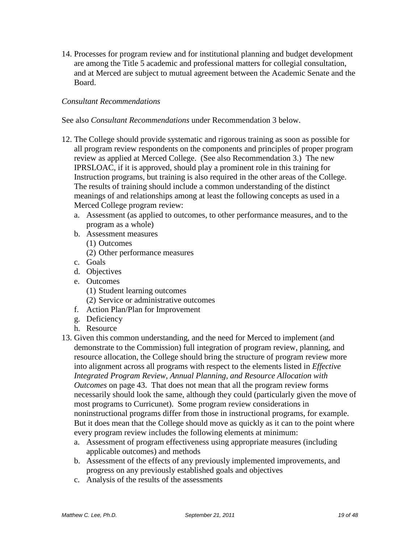14. Processes for program review and for institutional planning and budget development are among the Title 5 academic and professional matters for collegial consultation, and at Merced are subject to mutual agreement between the Academic Senate and the Board.

## *Consultant Recommendations*

#### See also *Consultant Recommendations* under Recommendation 3 below.

- 12. The College should provide systematic and rigorous training as soon as possible for all program review respondents on the components and principles of proper program review as applied at Merced College. (See also Recommendation 3.) The new IPRSLOAC, if it is approved, should play a prominent role in this training for Instruction programs, but training is also required in the other areas of the College. The results of training should include a common understanding of the distinct meanings of and relationships among at least the following concepts as used in a Merced College program review:
	- a. Assessment (as applied to outcomes, to other performance measures, and to the program as a whole)
	- b. Assessment measures
		- (1) Outcomes
		- (2) Other performance measures
	- c. Goals
	- d. Objectives
	- e. Outcomes
		- (1) Student learning outcomes
		- (2) Service or administrative outcomes
	- f. Action Plan/Plan for Improvement
	- g. Deficiency
	- h. Resource
- 13. Given this common understanding, and the need for Merced to implement (and demonstrate to the Commission) full integration of program review, planning, and resource allocation, the College should bring the structure of program review more into alignment across all programs with respect to the elements listed in *Effective Integrated Program Review, Annual Planning, and Resource Allocation with Outcomes* on page [43.](#page-42-0) That does not mean that all the program review forms necessarily should look the same, although they could (particularly given the move of most programs to Curricunet). Some program review considerations in noninstructional programs differ from those in instructional programs, for example. But it does mean that the College should move as quickly as it can to the point where every program review includes the following elements at minimum:
	- a. Assessment of program effectiveness using appropriate measures (including applicable outcomes) and methods
	- b. Assessment of the effects of any previously implemented improvements, and progress on any previously established goals and objectives
	- c. Analysis of the results of the assessments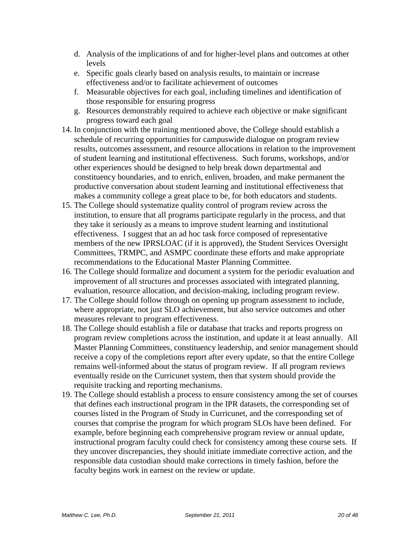- d. Analysis of the implications of and for higher-level plans and outcomes at other levels
- e. Specific goals clearly based on analysis results, to maintain or increase effectiveness and/or to facilitate achievement of outcomes
- f. Measurable objectives for each goal, including timelines and identification of those responsible for ensuring progress
- g. Resources demonstrably required to achieve each objective or make significant progress toward each goal
- 14. In conjunction with the training mentioned above, the College should establish a schedule of recurring opportunities for campuswide dialogue on program review results, outcomes assessment, and resource allocations in relation to the improvement of student learning and institutional effectiveness. Such forums, workshops, and/or other experiences should be designed to help break down departmental and constituency boundaries, and to enrich, enliven, broaden, and make permanent the productive conversation about student learning and institutional effectiveness that makes a community college a great place to be, for both educators and students.
- 15. The College should systematize quality control of program review across the institution, to ensure that all programs participate regularly in the process, and that they take it seriously as a means to improve student learning and institutional effectiveness. I suggest that an ad hoc task force composed of representative members of the new IPRSLOAC (if it is approved), the Student Services Oversight Committees, TRMPC, and ASMPC coordinate these efforts and make appropriate recommendations to the Educational Master Planning Committee.
- 16. The College should formalize and document a system for the periodic evaluation and improvement of all structures and processes associated with integrated planning, evaluation, resource allocation, and decision-making, including program review.
- 17. The College should follow through on opening up program assessment to include, where appropriate, not just SLO achievement, but also service outcomes and other measures relevant to program effectiveness.
- 18. The College should establish a file or database that tracks and reports progress on program review completions across the institution, and update it at least annually. All Master Planning Committees, constituency leadership, and senior management should receive a copy of the completions report after every update, so that the entire College remains well-informed about the status of program review. If all program reviews eventually reside on the Curricunet system, then that system should provide the requisite tracking and reporting mechanisms.
- 19. The College should establish a process to ensure consistency among the set of courses that defines each instructional program in the IPR datasets, the corresponding set of courses listed in the Program of Study in Curricunet, and the corresponding set of courses that comprise the program for which program SLOs have been defined. For example, before beginning each comprehensive program review or annual update, instructional program faculty could check for consistency among these course sets. If they uncover discrepancies, they should initiate immediate corrective action, and the responsible data custodian should make corrections in timely fashion, before the faculty begins work in earnest on the review or update.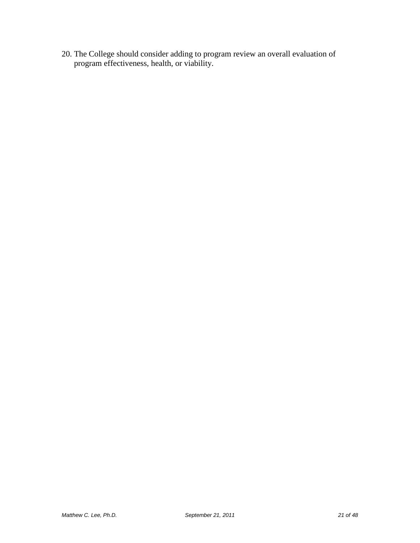20. The College should consider adding to program review an overall evaluation of program effectiveness, health, or viability.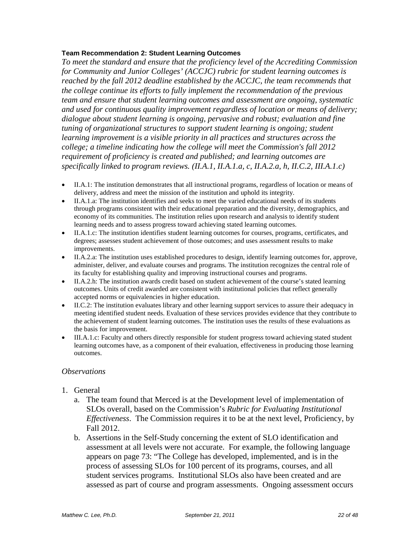#### **Team Recommendation 2: Student Learning Outcomes**

*To meet the standard and ensure that the proficiency level of the Accrediting Commission for Community and Junior Colleges' (ACCJC) rubric for student learning outcomes is reached by the fall 2012 deadline established by the ACCJC, the team recommends that the college continue its efforts to fully implement the recommendation of the previous team and ensure that student learning outcomes and assessment are ongoing, systematic and used for continuous quality improvement regardless of location or means of delivery; dialogue about student learning is ongoing, pervasive and robust; evaluation and fine tuning of organizational structures to support student learning is ongoing; student learning improvement is a visible priority in all practices and structures across the college; a timeline indicating how the college will meet the Commission's fall 2012 requirement of proficiency is created and published; and learning outcomes are specifically linked to program reviews. (II.A.1, II.A.1.a, c, II.A.2.a, h, II.C.2, III.A.1.c)*

- II.A.1: The institution demonstrates that all instructional programs, regardless of location or means of delivery, address and meet the mission of the institution and uphold its integrity.
- II.A.1.a: The institution identifies and seeks to meet the varied educational needs of its students through programs consistent with their educational preparation and the diversity, demographics, and economy of its communities. The institution relies upon research and analysis to identify student learning needs and to assess progress toward achieving stated learning outcomes.
- II.A.1.c: The institution identifies student learning outcomes for courses, programs, certificates, and degrees; assesses student achievement of those outcomes; and uses assessment results to make improvements.
- II.A.2.a: The institution uses established procedures to design, identify learning outcomes for, approve, administer, deliver, and evaluate courses and programs. The institution recognizes the central role of its faculty for establishing quality and improving instructional courses and programs.
- II.A.2.h: The institution awards credit based on student achievement of the course's stated learning outcomes. Units of credit awarded are consistent with institutional policies that reflect generally accepted norms or equivalencies in higher education.
- II.C.2: The institution evaluates library and other learning support services to assure their adequacy in meeting identified student needs. Evaluation of these services provides evidence that they contribute to the achievement of student learning outcomes. The institution uses the results of these evaluations as the basis for improvement.
- III.A.1.c: Faculty and others directly responsible for student progress toward achieving stated student learning outcomes have, as a component of their evaluation, effectiveness in producing those learning outcomes.

#### *Observations*

- 1. General
	- a. The team found that Merced is at the Development level of implementation of SLOs overall, based on the Commission's *Rubric for Evaluating Institutional Effectiveness*. The Commission requires it to be at the next level, Proficiency, by Fall 2012.
	- b. Assertions in the Self-Study concerning the extent of SLO identification and assessment at all levels were not accurate. For example, the following language appears on page 73: "The College has developed, implemented, and is in the process of assessing SLOs for 100 percent of its programs, courses, and all student services programs. Institutional SLOs also have been created and are assessed as part of course and program assessments. Ongoing assessment occurs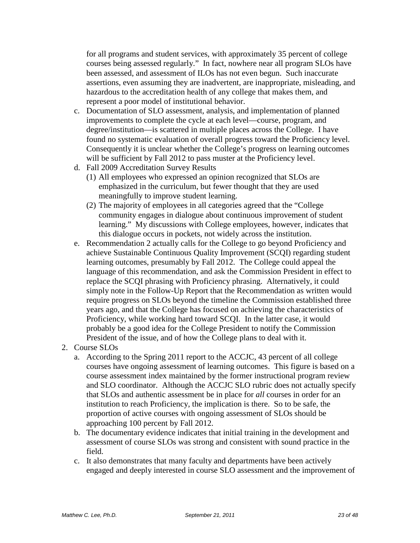for all programs and student services, with approximately 35 percent of college courses being assessed regularly." In fact, nowhere near all program SLOs have been assessed, and assessment of ILOs has not even begun. Such inaccurate assertions, even assuming they are inadvertent, are inappropriate, misleading, and hazardous to the accreditation health of any college that makes them, and represent a poor model of institutional behavior.

- c. Documentation of SLO assessment, analysis, and implementation of planned improvements to complete the cycle at each level—course, program, and degree/institution—is scattered in multiple places across the College. I have found no systematic evaluation of overall progress toward the Proficiency level. Consequently it is unclear whether the College's progress on learning outcomes will be sufficient by Fall 2012 to pass muster at the Proficiency level.
- d. Fall 2009 Accreditation Survey Results
	- (1) All employees who expressed an opinion recognized that SLOs are emphasized in the curriculum, but fewer thought that they are used meaningfully to improve student learning.
	- (2) The majority of employees in all categories agreed that the "College community engages in dialogue about continuous improvement of student learning." My discussions with College employees, however, indicates that this dialogue occurs in pockets, not widely across the institution.
- e. Recommendation 2 actually calls for the College to go beyond Proficiency and achieve Sustainable Continuous Quality Improvement (SCQI) regarding student learning outcomes, presumably by Fall 2012. The College could appeal the language of this recommendation, and ask the Commission President in effect to replace the SCQI phrasing with Proficiency phrasing. Alternatively, it could simply note in the Follow-Up Report that the Recommendation as written would require progress on SLOs beyond the timeline the Commission established three years ago, and that the College has focused on achieving the characteristics of Proficiency, while working hard toward SCQI. In the latter case, it would probably be a good idea for the College President to notify the Commission President of the issue, and of how the College plans to deal with it.
- 2. Course SLOs
	- a. According to the Spring 2011 report to the ACCJC, 43 percent of all college courses have ongoing assessment of learning outcomes. This figure is based on a course assessment index maintained by the former instructional program review and SLO coordinator. Although the ACCJC SLO rubric does not actually specify that SLOs and authentic assessment be in place for *all* courses in order for an institution to reach Proficiency, the implication is there. So to be safe, the proportion of active courses with ongoing assessment of SLOs should be approaching 100 percent by Fall 2012.
	- b. The documentary evidence indicates that initial training in the development and assessment of course SLOs was strong and consistent with sound practice in the field.
	- c. It also demonstrates that many faculty and departments have been actively engaged and deeply interested in course SLO assessment and the improvement of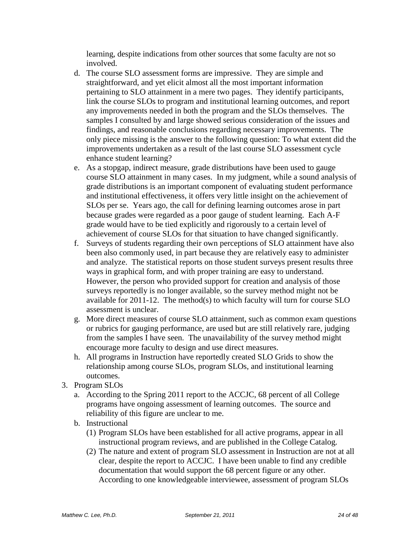learning, despite indications from other sources that some faculty are not so involved.

- d. The course SLO assessment forms are impressive. They are simple and straightforward, and yet elicit almost all the most important information pertaining to SLO attainment in a mere two pages. They identify participants, link the course SLOs to program and institutional learning outcomes, and report any improvements needed in both the program and the SLOs themselves. The samples I consulted by and large showed serious consideration of the issues and findings, and reasonable conclusions regarding necessary improvements. The only piece missing is the answer to the following question: To what extent did the improvements undertaken as a result of the last course SLO assessment cycle enhance student learning?
- e. As a stopgap, indirect measure, grade distributions have been used to gauge course SLO attainment in many cases. In my judgment, while a sound analysis of grade distributions is an important component of evaluating student performance and institutional effectiveness, it offers very little insight on the achievement of SLOs per se. Years ago, the call for defining learning outcomes arose in part because grades were regarded as a poor gauge of student learning. Each A-F grade would have to be tied explicitly and rigorously to a certain level of achievement of course SLOs for that situation to have changed significantly.
- f. Surveys of students regarding their own perceptions of SLO attainment have also been also commonly used, in part because they are relatively easy to administer and analyze. The statistical reports on those student surveys present results three ways in graphical form, and with proper training are easy to understand. However, the person who provided support for creation and analysis of those surveys reportedly is no longer available, so the survey method might not be available for 2011-12. The method(s) to which faculty will turn for course SLO assessment is unclear.
- g. More direct measures of course SLO attainment, such as common exam questions or rubrics for gauging performance, are used but are still relatively rare, judging from the samples I have seen. The unavailability of the survey method might encourage more faculty to design and use direct measures.
- h. All programs in Instruction have reportedly created SLO Grids to show the relationship among course SLOs, program SLOs, and institutional learning outcomes.
- 3. Program SLOs
	- a. According to the Spring 2011 report to the ACCJC, 68 percent of all College programs have ongoing assessment of learning outcomes. The source and reliability of this figure are unclear to me.
	- b. Instructional
		- (1) Program SLOs have been established for all active programs, appear in all instructional program reviews, and are published in the College Catalog.
		- (2) The nature and extent of program SLO assessment in Instruction are not at all clear, despite the report to ACCJC. I have been unable to find any credible documentation that would support the 68 percent figure or any other. According to one knowledgeable interviewee, assessment of program SLOs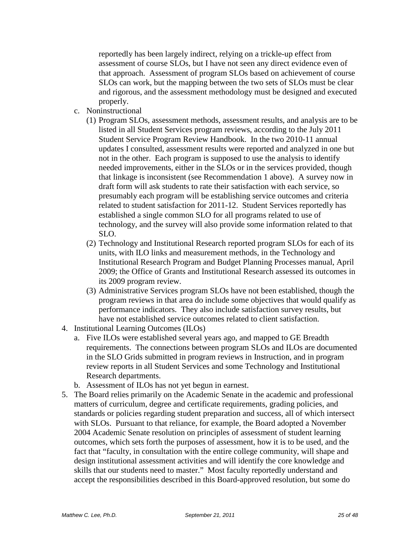reportedly has been largely indirect, relying on a trickle-up effect from assessment of course SLOs, but I have not seen any direct evidence even of that approach. Assessment of program SLOs based on achievement of course SLOs can work, but the mapping between the two sets of SLOs must be clear and rigorous, and the assessment methodology must be designed and executed properly.

- c. Noninstructional
	- (1) Program SLOs, assessment methods, assessment results, and analysis are to be listed in all Student Services program reviews, according to the July 2011 Student Service Program Review Handbook. In the two 2010-11 annual updates I consulted, assessment results were reported and analyzed in one but not in the other. Each program is supposed to use the analysis to identify needed improvements, either in the SLOs or in the services provided, though that linkage is inconsistent (see Recommendation 1 above). A survey now in draft form will ask students to rate their satisfaction with each service, so presumably each program will be establishing service outcomes and criteria related to student satisfaction for 2011-12. Student Services reportedly has established a single common SLO for all programs related to use of technology, and the survey will also provide some information related to that SLO.
	- (2) Technology and Institutional Research reported program SLOs for each of its units, with ILO links and measurement methods, in the Technology and Institutional Research Program and Budget Planning Processes manual, April 2009; the Office of Grants and Institutional Research assessed its outcomes in its 2009 program review.
	- (3) Administrative Services program SLOs have not been established, though the program reviews in that area do include some objectives that would qualify as performance indicators. They also include satisfaction survey results, but have not established service outcomes related to client satisfaction.
- 4. Institutional Learning Outcomes (ILOs)
	- a. Five ILOs were established several years ago, and mapped to GE Breadth requirements. The connections between program SLOs and ILOs are documented in the SLO Grids submitted in program reviews in Instruction, and in program review reports in all Student Services and some Technology and Institutional Research departments.
	- b. Assessment of ILOs has not yet begun in earnest.
- 5. The Board relies primarily on the Academic Senate in the academic and professional matters of curriculum, degree and certificate requirements, grading policies, and standards or policies regarding student preparation and success, all of which intersect with SLOs. Pursuant to that reliance, for example, the Board adopted a November 2004 Academic Senate resolution on principles of assessment of student learning outcomes, which sets forth the purposes of assessment, how it is to be used, and the fact that "faculty, in consultation with the entire college community, will shape and design institutional assessment activities and will identify the core knowledge and skills that our students need to master." Most faculty reportedly understand and accept the responsibilities described in this Board-approved resolution, but some do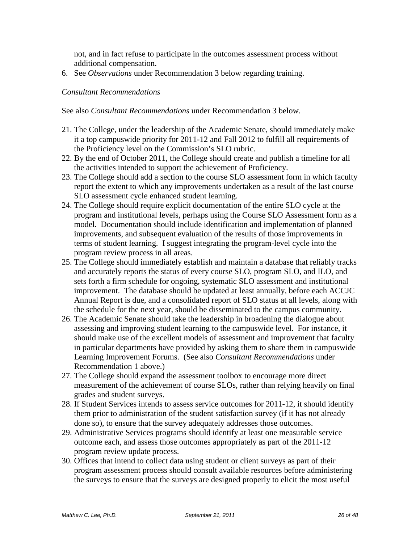not, and in fact refuse to participate in the outcomes assessment process without additional compensation.

6. See *Observations* under Recommendation 3 below regarding training.

## *Consultant Recommendations*

See also *Consultant Recommendations* under Recommendation 3 below.

- 21. The College, under the leadership of the Academic Senate, should immediately make it a top campuswide priority for 2011-12 and Fall 2012 to fulfill all requirements of the Proficiency level on the Commission's SLO rubric.
- 22. By the end of October 2011, the College should create and publish a timeline for all the activities intended to support the achievement of Proficiency.
- 23. The College should add a section to the course SLO assessment form in which faculty report the extent to which any improvements undertaken as a result of the last course SLO assessment cycle enhanced student learning.
- 24. The College should require explicit documentation of the entire SLO cycle at the program and institutional levels, perhaps using the Course SLO Assessment form as a model. Documentation should include identification and implementation of planned improvements, and subsequent evaluation of the results of those improvements in terms of student learning. I suggest integrating the program-level cycle into the program review process in all areas.
- 25. The College should immediately establish and maintain a database that reliably tracks and accurately reports the status of every course SLO, program SLO, and ILO, and sets forth a firm schedule for ongoing, systematic SLO assessment and institutional improvement. The database should be updated at least annually, before each ACCJC Annual Report is due, and a consolidated report of SLO status at all levels, along with the schedule for the next year, should be disseminated to the campus community.
- 26. The Academic Senate should take the leadership in broadening the dialogue about assessing and improving student learning to the campuswide level. For instance, it should make use of the excellent models of assessment and improvement that faculty in particular departments have provided by asking them to share them in campuswide Learning Improvement Forums. (See also *Consultant Recommendations* under Recommendation 1 above.)
- 27. The College should expand the assessment toolbox to encourage more direct measurement of the achievement of course SLOs, rather than relying heavily on final grades and student surveys.
- 28. If Student Services intends to assess service outcomes for 2011-12, it should identify them prior to administration of the student satisfaction survey (if it has not already done so), to ensure that the survey adequately addresses those outcomes.
- 29. Administrative Services programs should identify at least one measurable service outcome each, and assess those outcomes appropriately as part of the 2011-12 program review update process.
- 30. Offices that intend to collect data using student or client surveys as part of their program assessment process should consult available resources before administering the surveys to ensure that the surveys are designed properly to elicit the most useful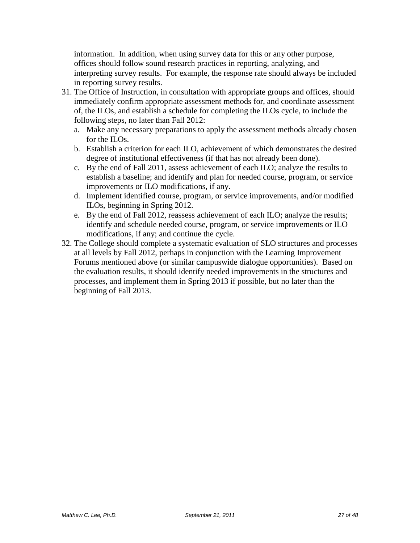information. In addition, when using survey data for this or any other purpose, offices should follow sound research practices in reporting, analyzing, and interpreting survey results. For example, the response rate should always be included in reporting survey results.

- 31. The Office of Instruction, in consultation with appropriate groups and offices, should immediately confirm appropriate assessment methods for, and coordinate assessment of, the ILOs, and establish a schedule for completing the ILOs cycle, to include the following steps, no later than Fall 2012:
	- a. Make any necessary preparations to apply the assessment methods already chosen for the ILOs.
	- b. Establish a criterion for each ILO, achievement of which demonstrates the desired degree of institutional effectiveness (if that has not already been done).
	- c. By the end of Fall 2011, assess achievement of each ILO; analyze the results to establish a baseline; and identify and plan for needed course, program, or service improvements or ILO modifications, if any.
	- d. Implement identified course, program, or service improvements, and/or modified ILOs, beginning in Spring 2012.
	- e. By the end of Fall 2012, reassess achievement of each ILO; analyze the results; identify and schedule needed course, program, or service improvements or ILO modifications, if any; and continue the cycle.
- 32. The College should complete a systematic evaluation of SLO structures and processes at all levels by Fall 2012, perhaps in conjunction with the Learning Improvement Forums mentioned above (or similar campuswide dialogue opportunities). Based on the evaluation results, it should identify needed improvements in the structures and processes, and implement them in Spring 2013 if possible, but no later than the beginning of Fall 2013.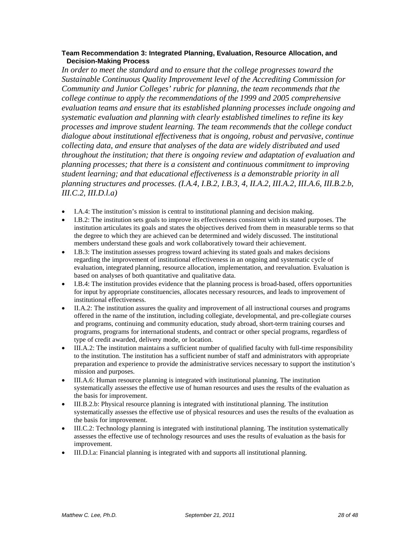#### **Team Recommendation 3: Integrated Planning, Evaluation, Resource Allocation, and Decision-Making Process**

In order to meet the standard and to ensure that the college progresses toward the *Sustainable Continuous Quality Improvement level of the Accrediting Commission for Community and Junior Colleges' rubric for planning, the team recommends that the college continue to apply the recommendations of the 1999 and 2005 comprehensive evaluation teams and ensure that its established planning processes include ongoing and systematic evaluation and planning with clearly established timelines to refine its key processes and improve student learning. The team recommends that the college conduct dialogue about institutional effectiveness that is ongoing, robust and pervasive, continue collecting data, and ensure that analyses of the data are widely distributed and used throughout the institution; that there is ongoing review and adaptation of evaluation and planning processes; that there is a consistent and continuous commitment to improving student learning; and that educational effectiveness is a demonstrable priority in all planning structures and processes. (I.A.4, I.B.2, I.B.3, 4, II.A.2, III.A.2, III.A.6, III.B.2.b, III.C.2, III.D.l.a)*

- I.A.4: The institution's mission is central to institutional planning and decision making.
- I.B.2: The institution sets goals to improve its effectiveness consistent with its stated purposes. The institution articulates its goals and states the objectives derived from them in measurable terms so that the degree to which they are achieved can be determined and widely discussed. The institutional members understand these goals and work collaboratively toward their achievement.
- I.B.3: The institution assesses progress toward achieving its stated goals and makes decisions regarding the improvement of institutional effectiveness in an ongoing and systematic cycle of evaluation, integrated planning, resource allocation, implementation, and reevaluation. Evaluation is based on analyses of both quantitative and qualitative data.
- I.B.4: The institution provides evidence that the planning process is broad-based, offers opportunities for input by appropriate constituencies, allocates necessary resources, and leads to improvement of institutional effectiveness.
- II.A.2: The institution assures the quality and improvement of all instructional courses and programs offered in the name of the institution, including collegiate, developmental, and pre-collegiate courses and programs, continuing and community education, study abroad, short-term training courses and programs, programs for international students, and contract or other special programs, regardless of type of credit awarded, delivery mode, or location.
- III.A.2: The institution maintains a sufficient number of qualified faculty with full-time responsibility to the institution. The institution has a sufficient number of staff and administrators with appropriate preparation and experience to provide the administrative services necessary to support the institution's mission and purposes.
- III.A.6: Human resource planning is integrated with institutional planning. The institution systematically assesses the effective use of human resources and uses the results of the evaluation as the basis for improvement.
- III.B.2.b: Physical resource planning is integrated with institutional planning. The institution systematically assesses the effective use of physical resources and uses the results of the evaluation as the basis for improvement.
- III.C.2: Technology planning is integrated with institutional planning. The institution systematically assesses the effective use of technology resources and uses the results of evaluation as the basis for improvement.
- III.D.l.a: Financial planning is integrated with and supports all institutional planning.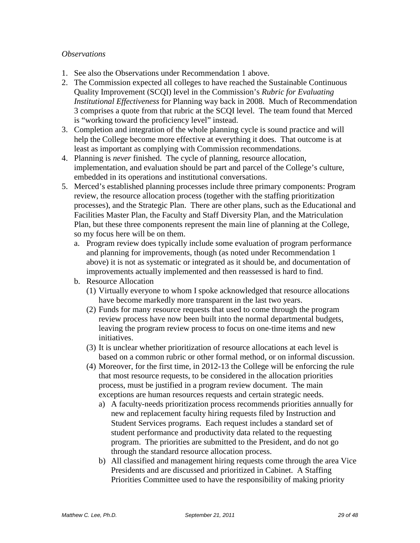## *Observations*

- 1. See also the Observations under Recommendation 1 above.
- 2. The Commission expected all colleges to have reached the Sustainable Continuous Quality Improvement (SCQI) level in the Commission's *Rubric for Evaluating Institutional Effectiveness* for Planning way back in 2008. Much of Recommendation 3 comprises a quote from that rubric at the SCQI level. The team found that Merced is "working toward the proficiency level" instead.
- 3. Completion and integration of the whole planning cycle is sound practice and will help the College become more effective at everything it does. That outcome is at least as important as complying with Commission recommendations.
- 4. Planning is *never* finished. The cycle of planning, resource allocation, implementation, and evaluation should be part and parcel of the College's culture, embedded in its operations and institutional conversations.
- 5. Merced's established planning processes include three primary components: Program review, the resource allocation process (together with the staffing prioritization processes), and the Strategic Plan. There are other plans, such as the Educational and Facilities Master Plan, the Faculty and Staff Diversity Plan, and the Matriculation Plan, but these three components represent the main line of planning at the College, so my focus here will be on them.
	- a. Program review does typically include some evaluation of program performance and planning for improvements, though (as noted under Recommendation 1 above) it is not as systematic or integrated as it should be, and documentation of improvements actually implemented and then reassessed is hard to find.
	- b. Resource Allocation
		- (1) Virtually everyone to whom I spoke acknowledged that resource allocations have become markedly more transparent in the last two years.
		- (2) Funds for many resource requests that used to come through the program review process have now been built into the normal departmental budgets, leaving the program review process to focus on one-time items and new initiatives.
		- (3) It is unclear whether prioritization of resource allocations at each level is based on a common rubric or other formal method, or on informal discussion.
		- (4) Moreover, for the first time, in 2012-13 the College will be enforcing the rule that most resource requests, to be considered in the allocation priorities process, must be justified in a program review document. The main exceptions are human resources requests and certain strategic needs.
			- a) A faculty-needs prioritization process recommends priorities annually for new and replacement faculty hiring requests filed by Instruction and Student Services programs. Each request includes a standard set of student performance and productivity data related to the requesting program. The priorities are submitted to the President, and do not go through the standard resource allocation process.
			- b) All classified and management hiring requests come through the area Vice Presidents and are discussed and prioritized in Cabinet. A Staffing Priorities Committee used to have the responsibility of making priority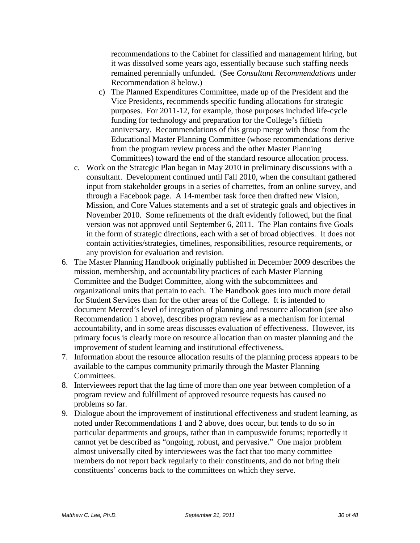recommendations to the Cabinet for classified and management hiring, but it was dissolved some years ago, essentially because such staffing needs remained perennially unfunded. (See *Consultant Recommendations* under Recommendation 8 below.)

- c) The Planned Expenditures Committee, made up of the President and the Vice Presidents, recommends specific funding allocations for strategic purposes. For 2011-12, for example, those purposes included life-cycle funding for technology and preparation for the College's fiftieth anniversary. Recommendations of this group merge with those from the Educational Master Planning Committee (whose recommendations derive from the program review process and the other Master Planning Committees) toward the end of the standard resource allocation process.
- c. Work on the Strategic Plan began in May 2010 in preliminary discussions with a consultant. Development continued until Fall 2010, when the consultant gathered input from stakeholder groups in a series of charrettes, from an online survey, and through a Facebook page. A 14-member task force then drafted new Vision, Mission, and Core Values statements and a set of strategic goals and objectives in November 2010. Some refinements of the draft evidently followed, but the final version was not approved until September 6, 2011. The Plan contains five Goals in the form of strategic directions, each with a set of broad objectives. It does not contain activities/strategies, timelines, responsibilities, resource requirements, or any provision for evaluation and revision.
- 6. The Master Planning Handbook originally published in December 2009 describes the mission, membership, and accountability practices of each Master Planning Committee and the Budget Committee, along with the subcommittees and organizational units that pertain to each. The Handbook goes into much more detail for Student Services than for the other areas of the College. It is intended to document Merced's level of integration of planning and resource allocation (see also Recommendation 1 above), describes program review as a mechanism for internal accountability, and in some areas discusses evaluation of effectiveness. However, its primary focus is clearly more on resource allocation than on master planning and the improvement of student learning and institutional effectiveness.
- 7. Information about the resource allocation results of the planning process appears to be available to the campus community primarily through the Master Planning Committees.
- 8. Interviewees report that the lag time of more than one year between completion of a program review and fulfillment of approved resource requests has caused no problems so far.
- 9. Dialogue about the improvement of institutional effectiveness and student learning, as noted under Recommendations 1 and 2 above, does occur, but tends to do so in particular departments and groups, rather than in campuswide forums; reportedly it cannot yet be described as "ongoing, robust, and pervasive." One major problem almost universally cited by interviewees was the fact that too many committee members do not report back regularly to their constituents, and do not bring their constituents' concerns back to the committees on which they serve.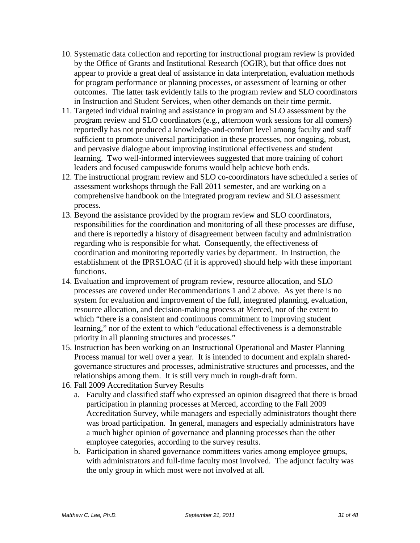- 10. Systematic data collection and reporting for instructional program review is provided by the Office of Grants and Institutional Research (OGIR), but that office does not appear to provide a great deal of assistance in data interpretation, evaluation methods for program performance or planning processes, or assessment of learning or other outcomes. The latter task evidently falls to the program review and SLO coordinators in Instruction and Student Services, when other demands on their time permit.
- 11. Targeted individual training and assistance in program and SLO assessment by the program review and SLO coordinators (e.g., afternoon work sessions for all comers) reportedly has not produced a knowledge-and-comfort level among faculty and staff sufficient to promote universal participation in these processes, nor ongoing, robust, and pervasive dialogue about improving institutional effectiveness and student learning. Two well-informed interviewees suggested that more training of cohort leaders and focused campuswide forums would help achieve both ends.
- 12. The instructional program review and SLO co-coordinators have scheduled a series of assessment workshops through the Fall 2011 semester, and are working on a comprehensive handbook on the integrated program review and SLO assessment process.
- 13. Beyond the assistance provided by the program review and SLO coordinators, responsibilities for the coordination and monitoring of all these processes are diffuse, and there is reportedly a history of disagreement between faculty and administration regarding who is responsible for what. Consequently, the effectiveness of coordination and monitoring reportedly varies by department. In Instruction, the establishment of the IPRSLOAC (if it is approved) should help with these important functions.
- 14. Evaluation and improvement of program review, resource allocation, and SLO processes are covered under Recommendations 1 and 2 above. As yet there is no system for evaluation and improvement of the full, integrated planning, evaluation, resource allocation, and decision-making process at Merced, nor of the extent to which "there is a consistent and continuous commitment to improving student learning," nor of the extent to which "educational effectiveness is a demonstrable priority in all planning structures and processes."
- 15. Instruction has been working on an Instructional Operational and Master Planning Process manual for well over a year. It is intended to document and explain sharedgovernance structures and processes, administrative structures and processes, and the relationships among them. It is still very much in rough-draft form.
- 16. Fall 2009 Accreditation Survey Results
	- a. Faculty and classified staff who expressed an opinion disagreed that there is broad participation in planning processes at Merced, according to the Fall 2009 Accreditation Survey, while managers and especially administrators thought there was broad participation. In general, managers and especially administrators have a much higher opinion of governance and planning processes than the other employee categories, according to the survey results.
	- b. Participation in shared governance committees varies among employee groups, with administrators and full-time faculty most involved. The adjunct faculty was the only group in which most were not involved at all.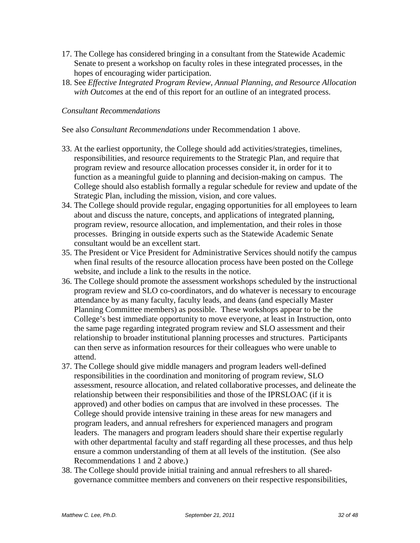- 17. The College has considered bringing in a consultant from the Statewide Academic Senate to present a workshop on faculty roles in these integrated processes, in the hopes of encouraging wider participation.
- 18. See *Effective Integrated Program Review, Annual Planning, and Resource Allocation with Outcomes* at the end of this report for an outline of an integrated process.

## *Consultant Recommendations*

See also *Consultant Recommendations* under Recommendation 1 above.

- 33. At the earliest opportunity, the College should add activities/strategies, timelines, responsibilities, and resource requirements to the Strategic Plan, and require that program review and resource allocation processes consider it, in order for it to function as a meaningful guide to planning and decision-making on campus. The College should also establish formally a regular schedule for review and update of the Strategic Plan, including the mission, vision, and core values.
- 34. The College should provide regular, engaging opportunities for all employees to learn about and discuss the nature, concepts, and applications of integrated planning, program review, resource allocation, and implementation, and their roles in those processes. Bringing in outside experts such as the Statewide Academic Senate consultant would be an excellent start.
- 35. The President or Vice President for Administrative Services should notify the campus when final results of the resource allocation process have been posted on the College website, and include a link to the results in the notice.
- 36. The College should promote the assessment workshops scheduled by the instructional program review and SLO co-coordinators, and do whatever is necessary to encourage attendance by as many faculty, faculty leads, and deans (and especially Master Planning Committee members) as possible. These workshops appear to be the College's best immediate opportunity to move everyone, at least in Instruction, onto the same page regarding integrated program review and SLO assessment and their relationship to broader institutional planning processes and structures. Participants can then serve as information resources for their colleagues who were unable to attend.
- 37. The College should give middle managers and program leaders well-defined responsibilities in the coordination and monitoring of program review, SLO assessment, resource allocation, and related collaborative processes, and delineate the relationship between their responsibilities and those of the IPRSLOAC (if it is approved) and other bodies on campus that are involved in these processes. The College should provide intensive training in these areas for new managers and program leaders, and annual refreshers for experienced managers and program leaders. The managers and program leaders should share their expertise regularly with other departmental faculty and staff regarding all these processes, and thus help ensure a common understanding of them at all levels of the institution. (See also Recommendations 1 and 2 above.)
- 38. The College should provide initial training and annual refreshers to all sharedgovernance committee members and conveners on their respective responsibilities,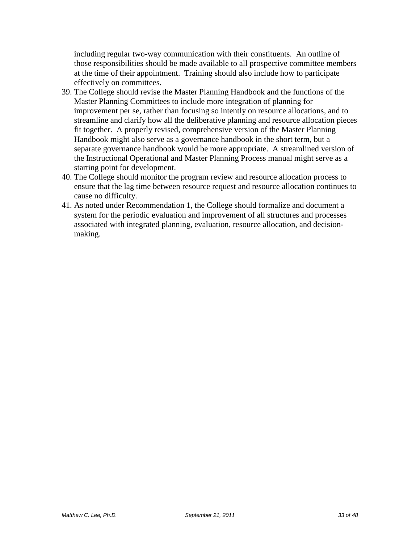including regular two-way communication with their constituents. An outline of those responsibilities should be made available to all prospective committee members at the time of their appointment. Training should also include how to participate effectively on committees.

- 39. The College should revise the Master Planning Handbook and the functions of the Master Planning Committees to include more integration of planning for improvement per se, rather than focusing so intently on resource allocations, and to streamline and clarify how all the deliberative planning and resource allocation pieces fit together. A properly revised, comprehensive version of the Master Planning Handbook might also serve as a governance handbook in the short term, but a separate governance handbook would be more appropriate. A streamlined version of the Instructional Operational and Master Planning Process manual might serve as a starting point for development.
- 40. The College should monitor the program review and resource allocation process to ensure that the lag time between resource request and resource allocation continues to cause no difficulty.
- 41. As noted under Recommendation 1, the College should formalize and document a system for the periodic evaluation and improvement of all structures and processes associated with integrated planning, evaluation, resource allocation, and decisionmaking.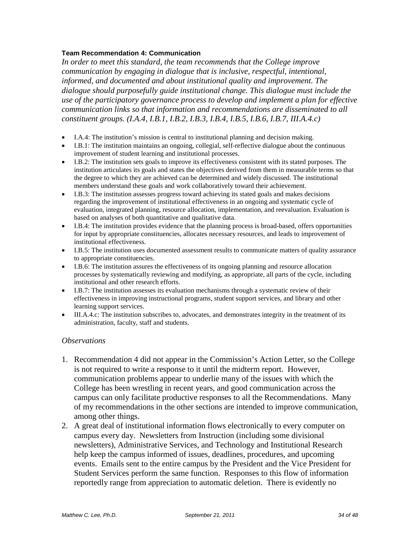#### **Team Recommendation 4: Communication**

*In order to meet this standard, the team recommends that the College improve communication by engaging in dialogue that is inclusive, respectful, intentional, informed, and documented and about institutional quality and improvement. The dialogue should purposefully guide institutional change. This dialogue must include the use of the participatory governance process to develop and implement a plan for effective communication links so that information and recommendations are disseminated to all constituent groups. (I.A.4, I.B.1, I.B.2, I.B.3, I.B.4, I.B.5, I.B.6, I.B.7, III.A.4.c)* 

- I.A.4: The institution's mission is central to institutional planning and decision making.
- I.B.1: The institution maintains an ongoing, collegial, self-reflective dialogue about the continuous improvement of student learning and institutional processes.
- I.B.2: The institution sets goals to improve its effectiveness consistent with its stated purposes. The institution articulates its goals and states the objectives derived from them in measurable terms so that the degree to which they are achieved can be determined and widely discussed. The institutional members understand these goals and work collaboratively toward their achievement.
- I.B.3: The institution assesses progress toward achieving its stated goals and makes decisions regarding the improvement of institutional effectiveness in an ongoing and systematic cycle of evaluation, integrated planning, resource allocation, implementation, and reevaluation. Evaluation is based on analyses of both quantitative and qualitative data.
- I.B.4: The institution provides evidence that the planning process is broad-based, offers opportunities for input by appropriate constituencies, allocates necessary resources, and leads to improvement of institutional effectiveness.
- I.B.5: The institution uses documented assessment results to communicate matters of quality assurance to appropriate constituencies.
- I.B.6: The institution assures the effectiveness of its ongoing planning and resource allocation processes by systematically reviewing and modifying, as appropriate, all parts of the cycle, including institutional and other research efforts.
- I.B.7: The institution assesses its evaluation mechanisms through a systematic review of their effectiveness in improving instructional programs, student support services, and library and other learning support services.
- III.A.4.c: The institution subscribes to, advocates, and demonstrates integrity in the treatment of its administration, faculty, staff and students.

#### *Observations*

- 1. Recommendation 4 did not appear in the Commission's Action Letter, so the College is not required to write a response to it until the midterm report. However, communication problems appear to underlie many of the issues with which the College has been wrestling in recent years, and good communication across the campus can only facilitate productive responses to all the Recommendations. Many of my recommendations in the other sections are intended to improve communication, among other things.
- 2. A great deal of institutional information flows electronically to every computer on campus every day. Newsletters from Instruction (including some divisional newsletters), Administrative Services, and Technology and Institutional Research help keep the campus informed of issues, deadlines, procedures, and upcoming events. Emails sent to the entire campus by the President and the Vice President for Student Services perform the same function. Responses to this flow of information reportedly range from appreciation to automatic deletion. There is evidently no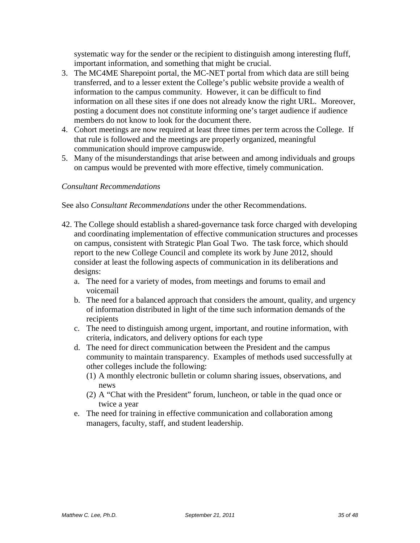systematic way for the sender or the recipient to distinguish among interesting fluff, important information, and something that might be crucial.

- 3. The MC4ME Sharepoint portal, the MC-NET portal from which data are still being transferred, and to a lesser extent the College's public website provide a wealth of information to the campus community. However, it can be difficult to find information on all these sites if one does not already know the right URL. Moreover, posting a document does not constitute informing one's target audience if audience members do not know to look for the document there.
- 4. Cohort meetings are now required at least three times per term across the College. If that rule is followed and the meetings are properly organized, meaningful communication should improve campuswide.
- 5. Many of the misunderstandings that arise between and among individuals and groups on campus would be prevented with more effective, timely communication.

## *Consultant Recommendations*

See also *Consultant Recommendations* under the other Recommendations.

- 42. The College should establish a shared-governance task force charged with developing and coordinating implementation of effective communication structures and processes on campus, consistent with Strategic Plan Goal Two. The task force, which should report to the new College Council and complete its work by June 2012, should consider at least the following aspects of communication in its deliberations and designs:
	- a. The need for a variety of modes, from meetings and forums to email and voicemail
	- b. The need for a balanced approach that considers the amount, quality, and urgency of information distributed in light of the time such information demands of the recipients
	- c. The need to distinguish among urgent, important, and routine information, with criteria, indicators, and delivery options for each type
	- d. The need for direct communication between the President and the campus community to maintain transparency. Examples of methods used successfully at other colleges include the following:
		- (1) A monthly electronic bulletin or column sharing issues, observations, and news
		- (2) A "Chat with the President" forum, luncheon, or table in the quad once or twice a year
	- e. The need for training in effective communication and collaboration among managers, faculty, staff, and student leadership.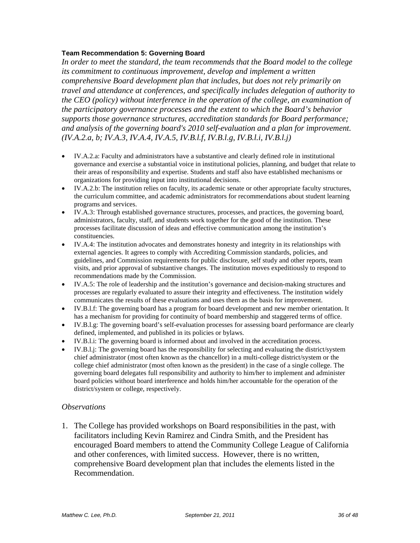#### **Team Recommendation 5: Governing Board**

*In order to meet the standard, the team recommends that the Board model to the college its commitment to continuous improvement, develop and implement a written comprehensive Board development plan that includes, but does not rely primarily on travel and attendance at conferences, and specifically includes delegation of authority to the CEO (policy) without interference in the operation of the college, an examination of the participatory governance processes and the extent to which the Board's behavior supports those governance structures, accreditation standards for Board performance; and analysis of the governing board's 2010 self-evaluation and a plan for improvement. (IV.A.2.a, b; IV.A.3, IV.A.4, IV.A.5, IV.B.l.f, IV.B.l.g, IV.B.l.i, IV.B.l.j)*

- IV.A.2.a: Faculty and administrators have a substantive and clearly defined role in institutional governance and exercise a substantial voice in institutional policies, planning, and budget that relate to their areas of responsibility and expertise. Students and staff also have established mechanisms or organizations for providing input into institutional decisions.
- IV.A.2.b: The institution relies on faculty, its academic senate or other appropriate faculty structures, the curriculum committee, and academic administrators for recommendations about student learning programs and services.
- IV.A.3: Through established governance structures, processes, and practices, the governing board, administrators, faculty, staff, and students work together for the good of the institution. These processes facilitate discussion of ideas and effective communication among the institution's constituencies.
- IV.A.4: The institution advocates and demonstrates honesty and integrity in its relationships with external agencies. It agrees to comply with Accrediting Commission standards, policies, and guidelines, and Commission requirements for public disclosure, self study and other reports, team visits, and prior approval of substantive changes. The institution moves expeditiously to respond to recommendations made by the Commission.
- IV.A.5: The role of leadership and the institution's governance and decision-making structures and processes are regularly evaluated to assure their integrity and effectiveness. The institution widely communicates the results of these evaluations and uses them as the basis for improvement.
- IV.B.l.f: The governing board has a program for board development and new member orientation. It has a mechanism for providing for continuity of board membership and staggered terms of office.
- IV.B.l.g: The governing board's self-evaluation processes for assessing board performance are clearly defined, implemented, and published in its policies or bylaws.
- IV.B.l.i: The governing board is informed about and involved in the accreditation process.
- IV.B.l.j: The governing board has the responsibility for selecting and evaluating the district/system chief administrator (most often known as the chancellor) in a multi-college district/system or the college chief administrator (most often known as the president) in the case of a single college. The governing board delegates full responsibility and authority to him/her to implement and administer board policies without board interference and holds him/her accountable for the operation of the district/system or college, respectively.

#### *Observations*

1. The College has provided workshops on Board responsibilities in the past, with facilitators including Kevin Ramirez and Cindra Smith, and the President has encouraged Board members to attend the Community College League of California and other conferences, with limited success. However, there is no written, comprehensive Board development plan that includes the elements listed in the Recommendation.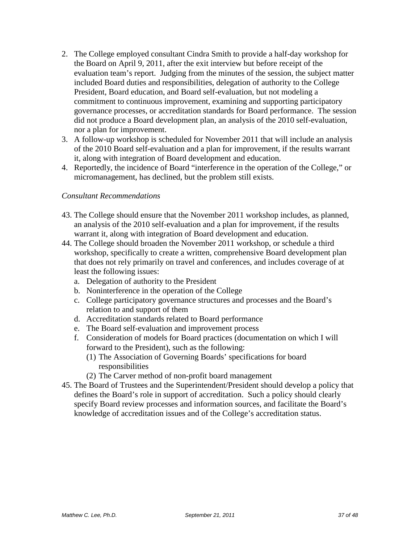- 2. The College employed consultant Cindra Smith to provide a half-day workshop for the Board on April 9, 2011, after the exit interview but before receipt of the evaluation team's report. Judging from the minutes of the session, the subject matter included Board duties and responsibilities, delegation of authority to the College President, Board education, and Board self-evaluation, but not modeling a commitment to continuous improvement, examining and supporting participatory governance processes, or accreditation standards for Board performance. The session did not produce a Board development plan, an analysis of the 2010 self-evaluation, nor a plan for improvement.
- 3. A follow-up workshop is scheduled for November 2011 that will include an analysis of the 2010 Board self-evaluation and a plan for improvement, if the results warrant it, along with integration of Board development and education.
- 4. Reportedly, the incidence of Board "interference in the operation of the College," or micromanagement, has declined, but the problem still exists.

## *Consultant Recommendations*

- 43. The College should ensure that the November 2011 workshop includes, as planned, an analysis of the 2010 self-evaluation and a plan for improvement, if the results warrant it, along with integration of Board development and education.
- 44. The College should broaden the November 2011 workshop, or schedule a third workshop, specifically to create a written, comprehensive Board development plan that does not rely primarily on travel and conferences, and includes coverage of at least the following issues:
	- a. Delegation of authority to the President
	- b. Noninterference in the operation of the College
	- c. College participatory governance structures and processes and the Board's relation to and support of them
	- d. Accreditation standards related to Board performance
	- e. The Board self-evaluation and improvement process
	- f. Consideration of models for Board practices (documentation on which I will forward to the President), such as the following:
		- (1) The Association of Governing Boards' specifications for board responsibilities
		- (2) The Carver method of non-profit board management
- 45. The Board of Trustees and the Superintendent/President should develop a policy that defines the Board's role in support of accreditation. Such a policy should clearly specify Board review processes and information sources, and facilitate the Board's knowledge of accreditation issues and of the College's accreditation status.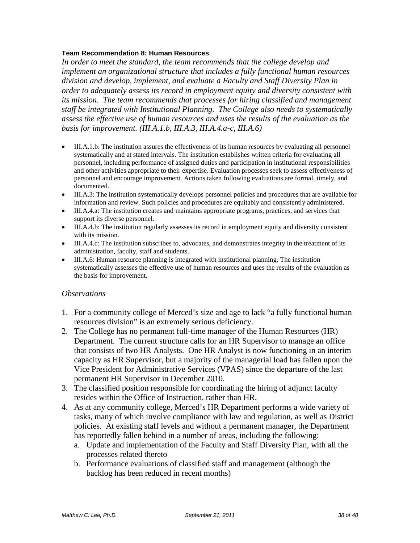#### **Team Recommendation 8: Human Resources**

*In order to meet the standard, the team recommends that the college develop and implement an organizational structure that includes a fully functional human resources division and develop, implement, and evaluate a Faculty and Staff Diversity Plan in order to adequately assess its record in employment equity and diversity consistent with its mission. The team recommends that processes for hiring classified and management staff be integrated with Institutional Planning. The College also needs to systematically assess the effective use of human resources and uses the results of the evaluation as the basis for improvement. (III.A.1.b, III.A.3, III.A.4.a-c, III.A.6)*

- III.A.1.b: The institution assures the effectiveness of its human resources by evaluating all personnel systematically and at stated intervals. The institution establishes written criteria for evaluating all personnel, including performance of assigned duties and participation in institutional responsibilities and other activities appropriate to their expertise. Evaluation processes seek to assess effectiveness of personnel and encourage improvement. Actions taken following evaluations are formal, timely, and documented.
- III.A.3: The institution systematically develops personnel policies and procedures that are available for information and review. Such policies and procedures are equitably and consistently administered.
- III.A.4.a: The institution creates and maintains appropriate programs, practices, and services that support its diverse personnel.
- III.A.4.b: The institution regularly assesses its record in employment equity and diversity consistent with its mission.
- III.A.4.c: The institution subscribes to, advocates, and demonstrates integrity in the treatment of its administration, faculty, staff and students.
- III.A.6: Human resource planning is integrated with institutional planning. The institution systematically assesses the effective use of human resources and uses the results of the evaluation as the basis for improvement.

#### *Observations*

- 1. For a community college of Merced's size and age to lack "a fully functional human resources division" is an extremely serious deficiency.
- 2. The College has no permanent full-time manager of the Human Resources (HR) Department. The current structure calls for an HR Supervisor to manage an office that consists of two HR Analysts. One HR Analyst is now functioning in an interim capacity as HR Supervisor, but a majority of the managerial load has fallen upon the Vice President for Administrative Services (VPAS) since the departure of the last permanent HR Supervisor in December 2010.
- 3. The classified position responsible for coordinating the hiring of adjunct faculty resides within the Office of Instruction, rather than HR.
- 4. As at any community college, Merced's HR Department performs a wide variety of tasks, many of which involve compliance with law and regulation, as well as District policies. At existing staff levels and without a permanent manager, the Department has reportedly fallen behind in a number of areas, including the following:
	- a. Update and implementation of the Faculty and Staff Diversity Plan, with all the processes related thereto
	- b. Performance evaluations of classified staff and management (although the backlog has been reduced in recent months)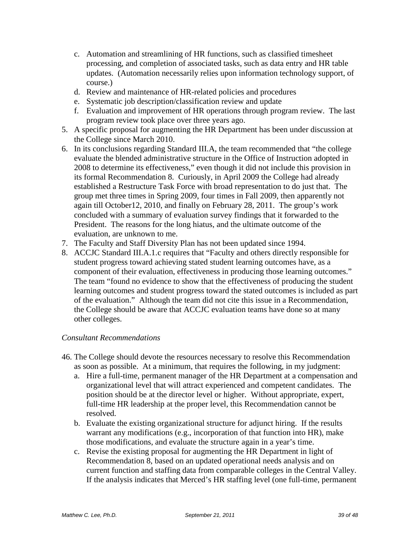- c. Automation and streamlining of HR functions, such as classified timesheet processing, and completion of associated tasks, such as data entry and HR table updates. (Automation necessarily relies upon information technology support, of course.)
- d. Review and maintenance of HR-related policies and procedures
- e. Systematic job description/classification review and update
- f. Evaluation and improvement of HR operations through program review. The last program review took place over three years ago.
- 5. A specific proposal for augmenting the HR Department has been under discussion at the College since March 2010.
- 6. In its conclusions regarding Standard III.A, the team recommended that "the college evaluate the blended administrative structure in the Office of Instruction adopted in 2008 to determine its effectiveness," even though it did not include this provision in its formal Recommendation 8. Curiously, in April 2009 the College had already established a Restructure Task Force with broad representation to do just that. The group met three times in Spring 2009, four times in Fall 2009, then apparently not again till October12, 2010, and finally on February 28, 2011. The group's work concluded with a summary of evaluation survey findings that it forwarded to the President. The reasons for the long hiatus, and the ultimate outcome of the evaluation, are unknown to me.
- 7. The Faculty and Staff Diversity Plan has not been updated since 1994.
- 8. ACCJC Standard III.A.1.c requires that "Faculty and others directly responsible for student progress toward achieving stated student learning outcomes have, as a component of their evaluation, effectiveness in producing those learning outcomes." The team "found no evidence to show that the effectiveness of producing the student learning outcomes and student progress toward the stated outcomes is included as part of the evaluation." Although the team did not cite this issue in a Recommendation, the College should be aware that ACCJC evaluation teams have done so at many other colleges.

## *Consultant Recommendations*

- 46. The College should devote the resources necessary to resolve this Recommendation as soon as possible. At a minimum, that requires the following, in my judgment:
	- a. Hire a full-time, permanent manager of the HR Department at a compensation and organizational level that will attract experienced and competent candidates. The position should be at the director level or higher. Without appropriate, expert, full-time HR leadership at the proper level, this Recommendation cannot be resolved.
	- b. Evaluate the existing organizational structure for adjunct hiring. If the results warrant any modifications (e.g., incorporation of that function into HR), make those modifications, and evaluate the structure again in a year's time.
	- c. Revise the existing proposal for augmenting the HR Department in light of Recommendation 8, based on an updated operational needs analysis and on current function and staffing data from comparable colleges in the Central Valley. If the analysis indicates that Merced's HR staffing level (one full-time, permanent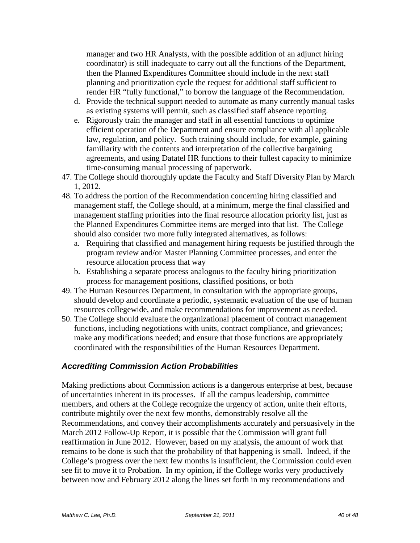manager and two HR Analysts, with the possible addition of an adjunct hiring coordinator) is still inadequate to carry out all the functions of the Department, then the Planned Expenditures Committee should include in the next staff planning and prioritization cycle the request for additional staff sufficient to render HR "fully functional," to borrow the language of the Recommendation.

- d. Provide the technical support needed to automate as many currently manual tasks as existing systems will permit, such as classified staff absence reporting.
- e. Rigorously train the manager and staff in all essential functions to optimize efficient operation of the Department and ensure compliance with all applicable law, regulation, and policy. Such training should include, for example, gaining familiarity with the contents and interpretation of the collective bargaining agreements, and using Datatel HR functions to their fullest capacity to minimize time-consuming manual processing of paperwork.
- 47. The College should thoroughly update the Faculty and Staff Diversity Plan by March 1, 2012.
- 48. To address the portion of the Recommendation concerning hiring classified and management staff, the College should, at a minimum, merge the final classified and management staffing priorities into the final resource allocation priority list, just as the Planned Expenditures Committee items are merged into that list. The College should also consider two more fully integrated alternatives, as follows:
	- a. Requiring that classified and management hiring requests be justified through the program review and/or Master Planning Committee processes, and enter the resource allocation process that way
	- b. Establishing a separate process analogous to the faculty hiring prioritization process for management positions, classified positions, or both
- 49. The Human Resources Department, in consultation with the appropriate groups, should develop and coordinate a periodic, systematic evaluation of the use of human resources collegewide, and make recommendations for improvement as needed.
- 50. The College should evaluate the organizational placement of contract management functions, including negotiations with units, contract compliance, and grievances; make any modifications needed; and ensure that those functions are appropriately coordinated with the responsibilities of the Human Resources Department.

# *Accrediting Commission Action Probabilities*

Making predictions about Commission actions is a dangerous enterprise at best, because of uncertainties inherent in its processes. If all the campus leadership, committee members, and others at the College recognize the urgency of action, unite their efforts, contribute mightily over the next few months, demonstrably resolve all the Recommendations, and convey their accomplishments accurately and persuasively in the March 2012 Follow-Up Report, it is possible that the Commission will grant full reaffirmation in June 2012. However, based on my analysis, the amount of work that remains to be done is such that the probability of that happening is small. Indeed, if the College's progress over the next few months is insufficient, the Commission could even see fit to move it to Probation. In my opinion, if the College works very productively between now and February 2012 along the lines set forth in my recommendations and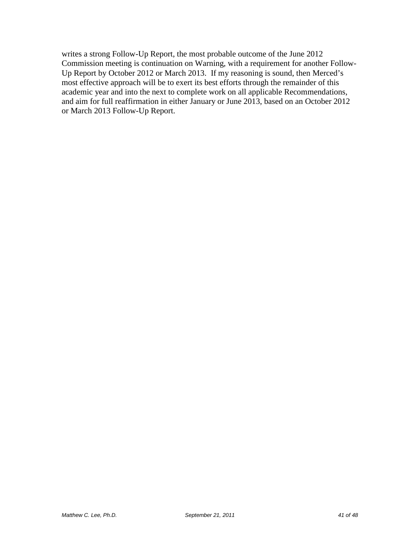writes a strong Follow-Up Report, the most probable outcome of the June 2012 Commission meeting is continuation on Warning, with a requirement for another Follow-Up Report by October 2012 or March 2013. If my reasoning is sound, then Merced's most effective approach will be to exert its best efforts through the remainder of this academic year and into the next to complete work on all applicable Recommendations, and aim for full reaffirmation in either January or June 2013, based on an October 2012 or March 2013 Follow-Up Report.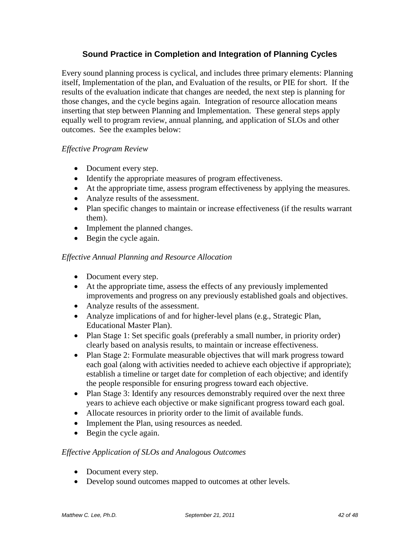# **Sound Practice in Completion and Integration of Planning Cycles**

Every sound planning process is cyclical, and includes three primary elements: Planning itself, Implementation of the plan, and Evaluation of the results, or PIE for short. If the results of the evaluation indicate that changes are needed, the next step is planning for those changes, and the cycle begins again. Integration of resource allocation means inserting that step between Planning and Implementation. These general steps apply equally well to program review, annual planning, and application of SLOs and other outcomes. See the examples below:

# *Effective Program Review*

- Document every step.
- Identify the appropriate measures of program effectiveness.
- At the appropriate time, assess program effectiveness by applying the measures.
- Analyze results of the assessment.
- Plan specific changes to maintain or increase effectiveness (if the results warrant them).
- Implement the planned changes.
- Begin the cycle again.

## *Effective Annual Planning and Resource Allocation*

- Document every step.
- At the appropriate time, assess the effects of any previously implemented improvements and progress on any previously established goals and objectives.
- Analyze results of the assessment.
- Analyze implications of and for higher-level plans (e.g., Strategic Plan, Educational Master Plan).
- Plan Stage 1: Set specific goals (preferably a small number, in priority order) clearly based on analysis results, to maintain or increase effectiveness.
- Plan Stage 2: Formulate measurable objectives that will mark progress toward each goal (along with activities needed to achieve each objective if appropriate); establish a timeline or target date for completion of each objective; and identify the people responsible for ensuring progress toward each objective.
- Plan Stage 3: Identify any resources demonstrably required over the next three years to achieve each objective or make significant progress toward each goal.
- Allocate resources in priority order to the limit of available funds.
- Implement the Plan, using resources as needed.
- Begin the cycle again.

## *Effective Application of SLOs and Analogous Outcomes*

- Document every step.
- Develop sound outcomes mapped to outcomes at other levels.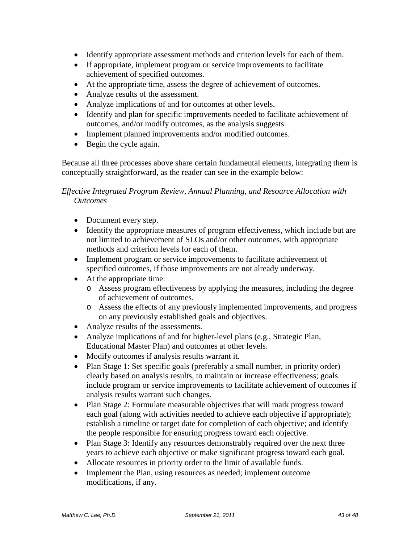- Identify appropriate assessment methods and criterion levels for each of them.
- If appropriate, implement program or service improvements to facilitate achievement of specified outcomes.
- At the appropriate time, assess the degree of achievement of outcomes.
- Analyze results of the assessment.
- Analyze implications of and for outcomes at other levels.
- Identify and plan for specific improvements needed to facilitate achievement of outcomes, and/or modify outcomes, as the analysis suggests.
- Implement planned improvements and/or modified outcomes.
- Begin the cycle again.

Because all three processes above share certain fundamental elements, integrating them is conceptually straightforward, as the reader can see in the example below:

# <span id="page-42-0"></span>*Effective Integrated Program Review, Annual Planning, and Resource Allocation with Outcomes*

- Document every step.
- Identify the appropriate measures of program effectiveness, which include but are not limited to achievement of SLOs and/or other outcomes, with appropriate methods and criterion levels for each of them.
- Implement program or service improvements to facilitate achievement of specified outcomes, if those improvements are not already underway.
- At the appropriate time:
	- o Assess program effectiveness by applying the measures, including the degree of achievement of outcomes.
	- o Assess the effects of any previously implemented improvements, and progress on any previously established goals and objectives.
- Analyze results of the assessments.
- Analyze implications of and for higher-level plans (e.g., Strategic Plan, Educational Master Plan) and outcomes at other levels.
- Modify outcomes if analysis results warrant it.
- Plan Stage 1: Set specific goals (preferably a small number, in priority order) clearly based on analysis results, to maintain or increase effectiveness; goals include program or service improvements to facilitate achievement of outcomes if analysis results warrant such changes.
- Plan Stage 2: Formulate measurable objectives that will mark progress toward each goal (along with activities needed to achieve each objective if appropriate); establish a timeline or target date for completion of each objective; and identify the people responsible for ensuring progress toward each objective.
- Plan Stage 3: Identify any resources demonstrably required over the next three years to achieve each objective or make significant progress toward each goal.
- Allocate resources in priority order to the limit of available funds.
- Implement the Plan, using resources as needed; implement outcome modifications, if any.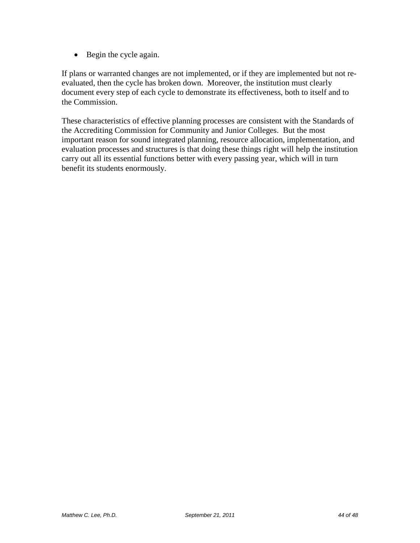• Begin the cycle again.

If plans or warranted changes are not implemented, or if they are implemented but not reevaluated, then the cycle has broken down. Moreover, the institution must clearly document every step of each cycle to demonstrate its effectiveness, both to itself and to the Commission.

These characteristics of effective planning processes are consistent with the Standards of the Accrediting Commission for Community and Junior Colleges. But the most important reason for sound integrated planning, resource allocation, implementation, and evaluation processes and structures is that doing these things right will help the institution carry out all its essential functions better with every passing year, which will in turn benefit its students enormously.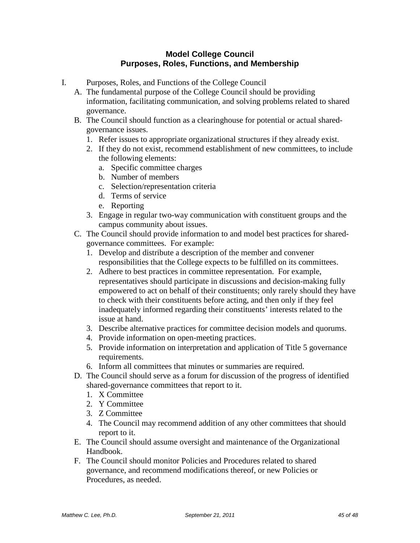# **Model College Council Purposes, Roles, Functions, and Membership**

- I. Purposes, Roles, and Functions of the College Council
	- A. The fundamental purpose of the College Council should be providing information, facilitating communication, and solving problems related to shared governance.
	- B. The Council should function as a clearinghouse for potential or actual sharedgovernance issues.
		- 1. Refer issues to appropriate organizational structures if they already exist.
		- 2. If they do not exist, recommend establishment of new committees, to include the following elements:
			- a. Specific committee charges
			- b. Number of members
			- c. Selection/representation criteria
			- d. Terms of service
			- e. Reporting
		- 3. Engage in regular two-way communication with constituent groups and the campus community about issues.
	- C. The Council should provide information to and model best practices for sharedgovernance committees. For example:
		- 1. Develop and distribute a description of the member and convener responsibilities that the College expects to be fulfilled on its committees.
		- 2. Adhere to best practices in committee representation. For example, representatives should participate in discussions and decision-making fully empowered to act on behalf of their constituents; only rarely should they have to check with their constituents before acting, and then only if they feel inadequately informed regarding their constituents' interests related to the issue at hand.
		- 3. Describe alternative practices for committee decision models and quorums.
		- 4. Provide information on open-meeting practices.
		- 5. Provide information on interpretation and application of Title 5 governance requirements.
		- 6. Inform all committees that minutes or summaries are required.
	- D. The Council should serve as a forum for discussion of the progress of identified shared-governance committees that report to it.
		- 1. X Committee
		- 2. Y Committee
		- 3. Z Committee
		- 4. The Council may recommend addition of any other committees that should report to it.
	- E. The Council should assume oversight and maintenance of the Organizational Handbook.
	- F. The Council should monitor Policies and Procedures related to shared governance, and recommend modifications thereof, or new Policies or Procedures, as needed.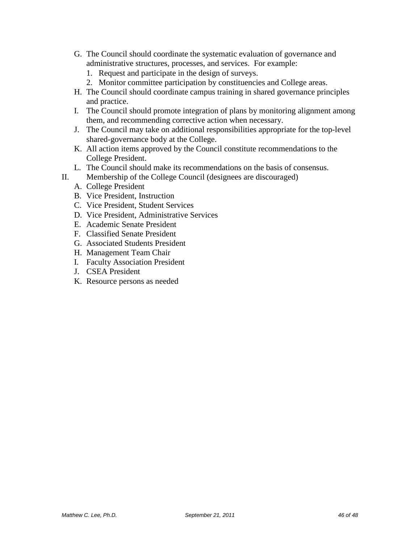- G. The Council should coordinate the systematic evaluation of governance and administrative structures, processes, and services. For example:
	- 1. Request and participate in the design of surveys.
	- 2. Monitor committee participation by constituencies and College areas.
- H. The Council should coordinate campus training in shared governance principles and practice.
- I. The Council should promote integration of plans by monitoring alignment among them, and recommending corrective action when necessary.
- J. The Council may take on additional responsibilities appropriate for the top-level shared-governance body at the College.
- K. All action items approved by the Council constitute recommendations to the College President.
- L. The Council should make its recommendations on the basis of consensus.
- II. Membership of the College Council (designees are discouraged)
	- A. College President
	- B. Vice President, Instruction
	- C. Vice President, Student Services
	- D. Vice President, Administrative Services
	- E. Academic Senate President
	- F. Classified Senate President
	- G. Associated Students President
	- H. Management Team Chair
	- I. Faculty Association President
	- J. CSEA President
	- K. Resource persons as needed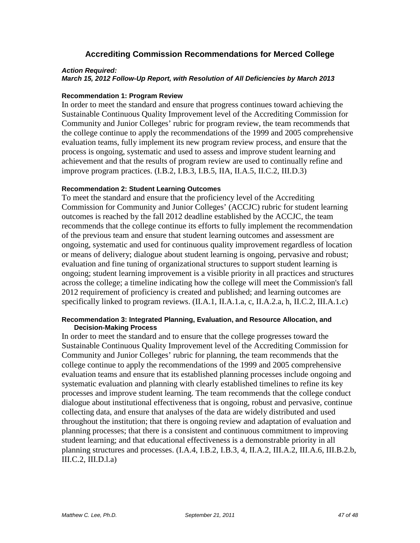# **Accrediting Commission Recommendations for Merced College**

#### *Action Required:*

*March 15, 2012 Follow-Up Report, with Resolution of All Deficiencies by March 2013*

#### **Recommendation 1: Program Review**

In order to meet the standard and ensure that progress continues toward achieving the Sustainable Continuous Quality Improvement level of the Accrediting Commission for Community and Junior Colleges' rubric for program review, the team recommends that the college continue to apply the recommendations of the 1999 and 2005 comprehensive evaluation teams, fully implement its new program review process, and ensure that the process is ongoing, systematic and used to assess and improve student learning and achievement and that the results of program review are used to continually refine and improve program practices. (I.B.2, I.B.3, I.B.5, IIA, II.A.5, II.C.2, III.D.3)

#### **Recommendation 2: Student Learning Outcomes**

To meet the standard and ensure that the proficiency level of the Accrediting Commission for Community and Junior Colleges' (ACCJC) rubric for student learning outcomes is reached by the fall 2012 deadline established by the ACCJC, the team recommends that the college continue its efforts to fully implement the recommendation of the previous team and ensure that student learning outcomes and assessment are ongoing, systematic and used for continuous quality improvement regardless of location or means of delivery; dialogue about student learning is ongoing, pervasive and robust; evaluation and fine tuning of organizational structures to support student learning is ongoing; student learning improvement is a visible priority in all practices and structures across the college; a timeline indicating how the college will meet the Commission's fall 2012 requirement of proficiency is created and published; and learning outcomes are specifically linked to program reviews. (II.A.1, II.A.1.a, c, II.A.2.a, h, II.C.2, III.A.1.c)

#### **Recommendation 3: Integrated Planning, Evaluation, and Resource Allocation, and Decision-Making Process**

In order to meet the standard and to ensure that the college progresses toward the Sustainable Continuous Quality Improvement level of the Accrediting Commission for Community and Junior Colleges' rubric for planning, the team recommends that the college continue to apply the recommendations of the 1999 and 2005 comprehensive evaluation teams and ensure that its established planning processes include ongoing and systematic evaluation and planning with clearly established timelines to refine its key processes and improve student learning. The team recommends that the college conduct dialogue about institutional effectiveness that is ongoing, robust and pervasive, continue collecting data, and ensure that analyses of the data are widely distributed and used throughout the institution; that there is ongoing review and adaptation of evaluation and planning processes; that there is a consistent and continuous commitment to improving student learning; and that educational effectiveness is a demonstrable priority in all planning structures and processes. (I.A.4, I.B.2, I.B.3, 4, II.A.2, III.A.2, III.A.6, III.B.2.b, III.C.2, III.D.l.a)